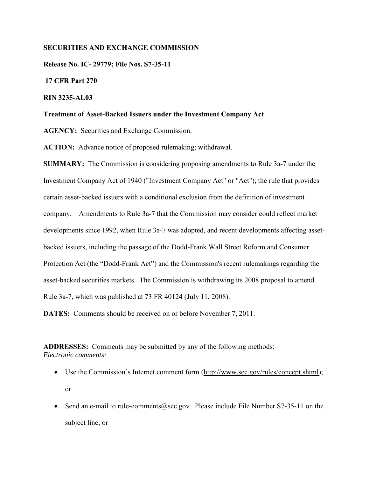## **SECURITIES AND EXCHANGE COMMISSION**

**Release No. IC- 29779; File Nos. S7-35-11** 

 **17 CFR Part 270** 

## **RIN 3235-AL03**

#### **Treatment of Asset-Backed Issuers under the Investment Company Act**

**AGENCY:** Securities and Exchange Commission.

**ACTION:** Advance notice of proposed rulemaking; withdrawal.

**SUMMARY:** The Commission is considering proposing amendments to Rule 3a-7 under the Investment Company Act of 1940 ("Investment Company Act" or "Act"), the rule that provides certain asset-backed issuers with a conditional exclusion from the definition of investment company. Amendments to Rule 3a-7 that the Commission may consider could reflect market developments since 1992, when Rule 3a-7 was adopted, and recent developments affecting assetbacked issuers, including the passage of the Dodd-Frank Wall Street Reform and Consumer Protection Act (the "Dodd-Frank Act") and the Commission's recent rulemakings regarding the asset-backed securities markets. The Commission is withdrawing its 2008 proposal to amend Rule 3a-7, which was published at 73 FR 40124 (July 11, 2008).

**DATES:** Comments should be received on or before November 7, 2011.

**ADDRESSES:** Comments may be submitted by any of the following methods: *Electronic comments:*

- Use the Commission's Internet comment form (http://www.sec.gov/rules/concept.shtml); or
- Send an e-mail to rule-comments@sec.gov. Please include File Number S7-35-11 on the subject line; or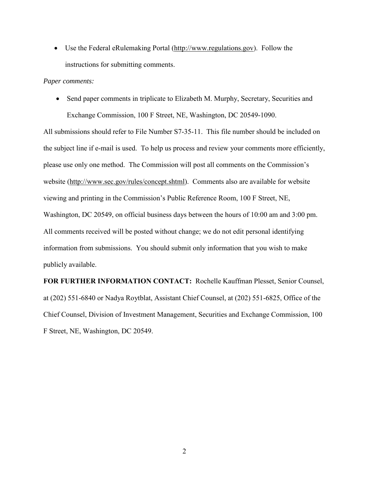• Use the Federal eRulemaking Portal (http://www.regulations.gov). Follow the instructions for submitting comments.

## *Paper comments:*

• Send paper comments in triplicate to Elizabeth M. Murphy, Secretary, Securities and Exchange Commission, 100 F Street, NE, Washington, DC 20549-1090.

All submissions should refer to File Number S7-35-11. This file number should be included on the subject line if e-mail is used. To help us process and review your comments more efficiently, please use only one method. The Commission will post all comments on the Commission's website (http://www.sec.gov/rules/concept.shtml). Comments also are available for website viewing and printing in the Commission's Public Reference Room, 100 F Street, NE, Washington, DC 20549, on official business days between the hours of 10:00 am and 3:00 pm. All comments received will be posted without change; we do not edit personal identifying information from submissions. You should submit only information that you wish to make publicly available.

**FOR FURTHER INFORMATION CONTACT:** Rochelle Kauffman Plesset, Senior Counsel, at (202) 551-6840 or Nadya Roytblat, Assistant Chief Counsel, at (202) 551-6825, Office of the Chief Counsel, Division of Investment Management, Securities and Exchange Commission, 100 F Street, NE, Washington, DC 20549.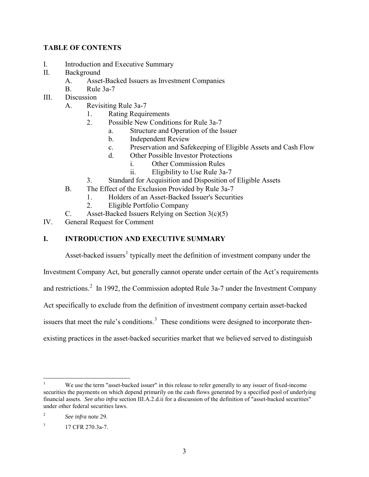# **TABLE OF CONTENTS**

- I. Introduction and Executive Summary
- II. Background
	- A. Asset-Backed Issuers as Investment Companies
	- B. Rule 3a-7
- III. Discussion
	- A. Revisiting Rule 3a-7
		- 1. Rating Requirements
		- 2. Possible New Conditions for Rule 3a-7
			- a. Structure and Operation of the Issuer
			- b. Independent Review
			- c. Preservation and Safekeeping of Eligible Assets and Cash Flow
			- d. Other Possible Investor Protections
				- i. Other Commission Rules
				- ii. Eligibility to Use Rule 3a-7
		- 3. Standard for Acquisition and Disposition of Eligible Assets
	- B. The Effect of the Exclusion Provided by Rule 3a-7
		- 1. Holders of an Asset-Backed Issuer's Securities
			- 2. Eligible Portfolio Company
	- C. Asset-Backed Issuers Relying on Section 3(c)(5)
- IV. General Request for Comment

# **I. INTRODUCTION AND EXECUTIVE SUMMARY**

Asset-backed issuers<sup>[1](#page-2-0)</sup> typically meet the definition of investment company under the

Investment Company Act, but generally cannot operate under certain of the Act's requirements

and restrictions.<sup>[2](#page-2-1)</sup> In 1992, the Commission adopted Rule 3a-7 under the Investment Company

Act specifically to exclude from the definition of investment company certain asset-backed

issuers that meet the rule's conditions.<sup>[3](#page-2-2)</sup> These conditions were designed to incorporate then-

existing practices in the asset-backed securities market that we believed served to distinguish

<span id="page-2-0"></span> $\frac{1}{1}$  We use the term "asset-backed issuer" in this release to refer generally to any issuer of fixed-income securities the payments on which depend primarily on the cash flows generated by a specified pool of underlying financial assets. *See also infra* section III.A.2.d.ii for a discussion of the definition of "asset-backed securities" under other federal securities laws.

<span id="page-2-1"></span><sup>2</sup> *See infra* note [29.](#page-9-0)

<span id="page-2-2"></span> $17$  CFR 270.3a-7.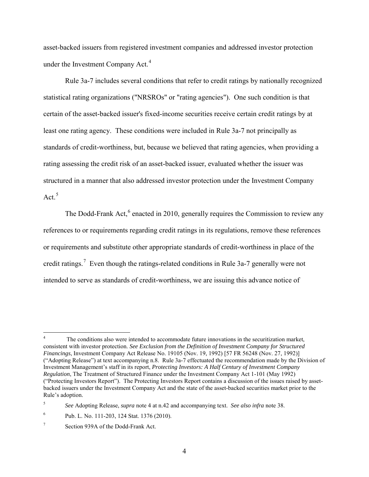<span id="page-3-0"></span>asset-backed issuers from registered investment companies and addressed investor protection under the Investment Company Act.<sup>[4](#page-3-1)</sup>

Rule 3a-7 includes several conditions that refer to credit ratings by nationally recognized statistical rating organizations ("NRSROs" or "rating agencies"). One such condition is that certain of the asset-backed issuer's fixed-income securities receive certain credit ratings by at least one rating agency. These conditions were included in Rule 3a-7 not principally as standards of credit-worthiness, but, because we believed that rating agencies, when providing a rating assessing the credit risk of an asset-backed issuer, evaluated whether the issuer was structured in a manner that also addressed investor protection under the Investment Company Act. [5](#page-3-2)

<span id="page-3-5"></span>The Dodd-Frank Act, $6$  enacted in 2010, generally requires the Commission to review any references to or requirements regarding credit ratings in its regulations, remove these references or requirements and substitute other appropriate standards of credit-worthiness in place of the credit ratings.<sup>[7](#page-3-4)</sup> Even though the ratings-related conditions in Rule 3a-7 generally were not intended to serve as standards of credit-worthiness, we are issuing this advance notice of

 $\overline{a}$ 

<span id="page-3-1"></span>The conditions also were intended to accommodate future innovations in the securitization market, consistent with investor protection. *See Exclusion from the Definition of Investment Company for Structured Financings*, Investment Company Act Release No. 19105 (Nov. 19, 1992) [57 FR 56248 (Nov. 27, 1992)] ("Adopting Release") at text accompanying n.8. Rule 3a-7 effectuated the recommendation made by the Division of Investment Management's staff in its report, *Protecting Investors: A Half Century of Investment Company Regulation*, The Treatment of Structured Finance under the Investment Company Act 1-101 (May 1992) ("Protecting Investors Report"). The Protecting Investors Report contains a discussion of the issues raised by assetbacked issuers under the Investment Company Act and the state of the asset-backed securities market prior to the Rule's adoption.

<span id="page-3-2"></span><sup>5</sup> *See* Adopting Release, *supra* not[e 4](#page-3-0) at n.42 and accompanying text. *See also infra* note [38.](#page-11-0) 

<span id="page-3-3"></span><sup>6</sup> Pub. L. No. 111-203, 124 Stat. 1376 (2010).

<span id="page-3-4"></span><sup>7</sup> Section 939A of the Dodd-Frank Act.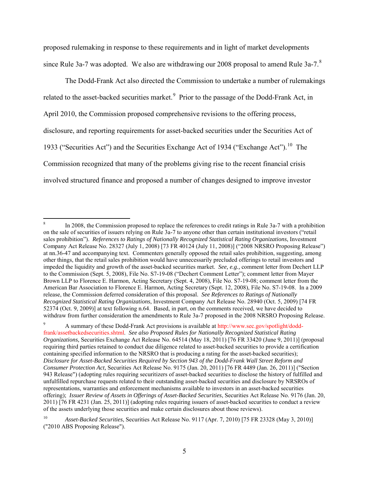<span id="page-4-3"></span>proposed rulemaking in response to these requirements and in light of market developments since Rule 3a-7 was adopted. We also are withdrawing our 200[8](#page-4-0) proposal to amend Rule 3a-7.<sup>8</sup>

<span id="page-4-5"></span><span id="page-4-4"></span>The Dodd-Frank Act also directed the Commission to undertake a number of rulemakings related to the asset-backed securities market.<sup>[9](#page-4-1)</sup> Prior to the passage of the Dodd-Frank Act, in April 2010, the Commission proposed comprehensive revisions to the offering process, disclosure, and reporting requirements for asset-backed securities under the Securities Act of 1933 ("Securities Act") and the Securities Exchange Act of 1934 ("Exchange Act").<sup>[10](#page-4-2)</sup> The Commission recognized that many of the problems giving rise to the recent financial crisis involved structured finance and proposed a number of changes designed to improve investor

<span id="page-4-0"></span> $\overline{8}$ In 2008, the Commission proposed to replace the references to credit ratings in Rule 3a-7 with a prohibition on the sale of securities of issuers relying on Rule 3a-7 to anyone other than certain institutional investors ("retail sales prohibition"). *References to Ratings of Nationally Recognized Statistical Rating Organizations*, Investment Company Act Release No. 28327 (July 1, 2008) [73 FR 40124 (July 11, 2008)] ("2008 NRSRO Proposing Release") at nn.36-47 and accompanying text. Commenters generally opposed the retail sales prohibition, suggesting, among other things, that the retail sales prohibition would have unnecessarily precluded offerings to retail investors and impeded the liquidity and growth of the asset-backed securities market. *See, e.g.,* comment letter from Dechert LLP to the Commission (Sept. 5, 2008), File No. S7-19-08 ("Dechert Comment Letter"); comment letter from Mayer Brown LLP to Florence E. Harmon, Acting Secretary (Sept. 4, 2008), File No. S7-19-08; comment letter from the American Bar Association to Florence E. Harmon, Acting Secretary (Sept. 12, 2008), File No. S7-19-08. In a 2009 release, the Commission deferred consideration of this proposal. *See References to Ratings of Nationally Recognized Statistical Rating Organizations*, Investment Company Act Release No. 28940 (Oct. 5, 2009) [74 FR 52374 (Oct. 9, 2009)] at text following n.64. Based, in part, on the comments received, we have decided to withdraw from further consideration the amendments to Rule 3a-7 proposed in the 2008 NRSRO Proposing Release.

<span id="page-4-1"></span><sup>9</sup> A summary of these Dodd-Frank Act provisions is available at [http://www.sec.gov/spotlight/dodd](http://www.sec.gov/spotlight/dodd-frank/assetbackedsecurities.shtml)[frank/assetbackedsecurities.shtml.](http://www.sec.gov/spotlight/dodd-frank/assetbackedsecurities.shtml) *See also Proposed Rules for Nationally Recognized Statistical Rating Organizations, Securities Exchange Act Release No. 64514 (May 18, 2011) [76 FR 33420 (June 9, 2011)] (proposal* requiring third parties retained to conduct due diligence related to asset-backed securities to provide a certification containing specified information to the NRSRO that is producing a rating for the asset-backed securities); *Disclosure for Asset-Backed Securities Required by Section 943 of the Dodd-Frank Wall Street Reform and Consumer Protection Act,* Securities Act Release No. 9175 (Jan. 20, 2011) [76 FR 4489 (Jan. 26, 2011)] ("Section 943 Release") (adopting rules requiring securitizers of asset-backed securities to disclose the history of fulfilled and unfulfilled repurchase requests related to their outstanding asset-backed securities and disclosure by NRSROs of representations, warranties and enforcement mechanisms available to investors in an asset-backed securities offering); *Issuer Review of Assets in Offerings of Asset-Backed Securities*, Securities Act Release No. 9176 (Jan. 20, 2011) [76 FR 4231 (Jan. 25, 2011)] (adoptin[g rules requiring issuers](http://www.sec.gov/news/press/2011/2011-18.htm) of asset-backed securities to conduct a review of the assets underlying those securities and make certain disclosures about those reviews).

<span id="page-4-2"></span><sup>10</sup> *Asset-Backed Securities*, Securities Act Release No. 9117 (Apr. 7, 2010) [75 FR 23328 (May 3, 2010)] ("2010 ABS Proposing Release").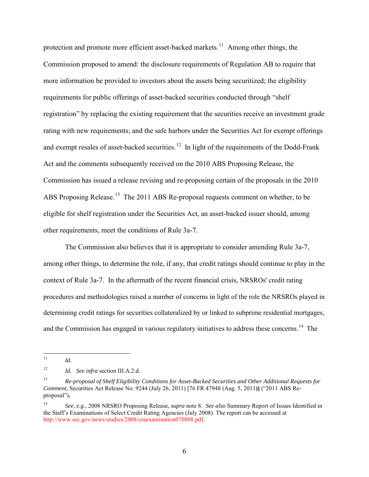protection and promote more efficient asset-backed markets.<sup>11</sup> Among other things, the Commission proposed to amend: the disclosure requirements of Regulation AB to require that more information be provided to investors about the assets being securitized; the eligibility requirements for public offerings of asset-backed securities conducted through "shelf registration" by replacing the existing requirement that the securities receive an investment grade rating with new requirements; and the safe harbors under the Securities Act for exempt offerings and exempt resales of asset-backed securities.<sup>12</sup> In light of the requirements of the Dodd-Frank Act and the comments subsequently received on the 2010 ABS Proposing Release, the Commission has issued a release revising and re-proposing certain of the proposals in the 2010 ABS Proposing Release.<sup>[13](#page-5-2)</sup> The 2011 ABS Re-proposal requests comment on whether, to be eligible for shelf registration under the Securities Act, an asset-backed issuer should, among other requirements, meet the conditions of Rule 3a-7.

<span id="page-5-4"></span> The Commission also believes that it is appropriate to consider amending Rule 3a-7, among other things, to determine the role, if any, that credit ratings should continue to play in the context of Rule 3a-7. In the aftermath of the recent financial crisis, NRSROs' credit rating procedures and methodologies raised a number of concerns in light of the role the NRSROs played in determining credit ratings for securities collateralized by or linked to subprime residential mortgages, and the Commission has engaged in various regulatory initiatives to address these concerns. [14](#page-5-3) The

<span id="page-5-5"></span><span id="page-5-0"></span> $11$ 11 *Id.*

<span id="page-5-1"></span><sup>12</sup> *Id. See infra* section III.A.2.d.

<span id="page-5-2"></span><sup>13</sup> *Re-proposal of Shelf Eligibility Conditions for Asset-Backed Securities and Other Additional Requests for Comment*, Securities Act Release No. 9244 (July 26, 2011) [76 FR 47948 (Aug. 5, 2011**)]** ("2011 ABS Reproposal")**.**

<span id="page-5-3"></span><sup>14</sup> *See, e.g*., 2008 NRSRO Proposing Release, *supra* note [8.](#page-4-3) *See also* Summary Report of Issues Identified in the Staff's Examinations of Select Credit Rating Agencies (July 2008). The report can be accessed at [http://www.sec.gov/news/studies/2008/craexamination070808.pdf.](http://www.sec.gov/news/studies/2008/craexamination070808.pdf)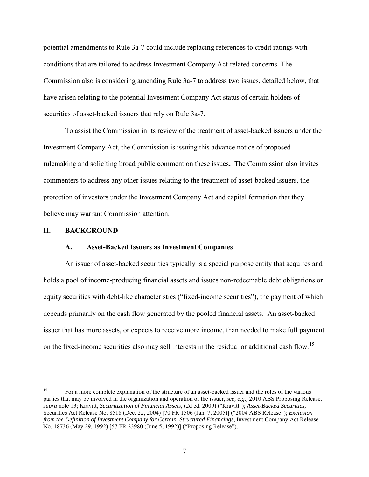potential amendments to Rule 3a-7 could include replacing references to credit ratings with conditions that are tailored to address Investment Company Act-related concerns. The Commission also is considering amending Rule 3a-7 to address two issues, detailed below, that have arisen relating to the potential Investment Company Act status of certain holders of securities of asset-backed issuers that rely on Rule 3a-7.

To assist the Commission in its review of the treatment of asset-backed issuers under the Investment Company Act, the Commission is issuing this advance notice of proposed rulemaking and soliciting broad public comment on these issues**.** The Commission also invites commenters to address any other issues relating to the treatment of asset-backed issuers, the protection of investors under the Investment Company Act and capital formation that they believe may warrant Commission attention.

#### **II. BACKGROUND**

#### <span id="page-6-1"></span>**A. Asset-Backed Issuers as Investment Companies**

An issuer of asset-backed securities typically is a special purpose entity that acquires and holds a pool of income-producing financial assets and issues non-redeemable debt obligations or equity securities with debt-like characteristics ("fixed-income securities"), the payment of which depends primarily on the cash flow generated by the pooled financial assets. An asset-backed issuer that has more assets, or expects to receive more income, than needed to make full payment on the fixed-income securities also may sell interests in the residual or additional cash flow.<sup>[15](#page-6-0)</sup>

<span id="page-6-0"></span><sup>15</sup> <sup>15</sup> For a more complete explanation of the structure of an asset-backed issuer and the roles of the various parties that may be involved in the organization and operation of the issuer, *see, e.g.,* 2010 ABS Proposing Release, *supra* note [13;](#page-5-4) Kravitt, *Securitization of Financial Assets,* (2d ed. 2009) ("Kravitt"); *Asset-Backed Securities,*  Securities Act Release No. 8518 (Dec. 22, 2004) [70 FR 1506 (Jan. 7, 2005)] ("2004 ABS Release"); *Exclusion from the Definition of Investment Company for Certain Structured Financings*, Investment Company Act Release No. 18736 (May 29, 1992) [57 FR 23980 (June 5, 1992)] ("Proposing Release").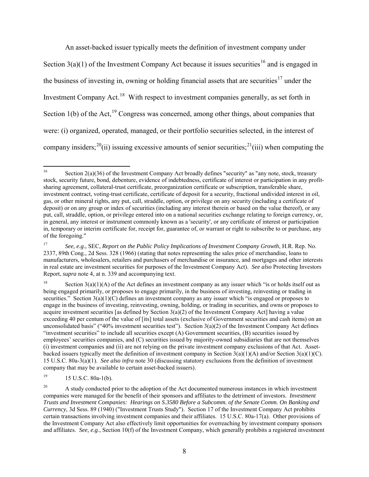<span id="page-7-8"></span>An asset-backed issuer typically meets the definition of investment company under Section  $3(a)(1)$  of the Investment Company Act because it issues securities<sup>16</sup> and is engaged in the business of investing in, owning or holding financial assets that are securities<sup>17</sup> under the Investment Company Act.<sup>[18](#page-7-2)</sup> With respect to investment companies generally, as set forth in Section 1(b) of the Act,<sup>[19](#page-7-3)</sup> Congress was concerned, among other things, about companies that were: (i) organized, operated, managed, or their portfolio securities selected, in the interest of company insiders;<sup>[20](#page-7-4)</sup>(ii) issuing excessive amounts of senior securities;<sup>[21](#page-7-5)</sup>(iii) when computing the

<span id="page-7-3"></span> $19$  15 U.S.C. 80a-1(b).

<span id="page-7-7"></span><span id="page-7-6"></span><span id="page-7-0"></span><sup>16</sup> Section 2(a)(36) of the Investment Company Act broadly defines "security" as "any note, stock, treasury stock, security future, bond, debenture, evidence of indebtedness, certificate of interest or participation in any profitsharing agreement, collateral-trust certificate, preorganization certificate or subscription, transferable share, investment contract, voting-trust certificate, certificate of deposit for a security, fractional undivided interest in oil, gas, or other mineral rights, any put, call, straddle, option, or privilege on any security (including a certificate of deposit) or on any group or index of securities (including any interest therein or based on the value thereof), or any put, call, straddle, option, or privilege entered into on a national securities exchange relating to foreign currency, or, in general, any interest or instrument commonly known as a 'security', or any certificate of interest or participation in, temporary or interim certificate for, receipt for, guarantee of, or warrant or right to subscribe to or purchase, any of the foregoing."

<span id="page-7-1"></span><sup>17</sup> *See, e.g*., SEC, *Report on the Public Policy Implications of Investment Company Growth*, H.R. Rep. No. 2337, 89th Cong., 2d Sess. 328 (1966) (stating that notes representing the sales price of merchandise, loans to manufacturers, wholesalers, retailers and purchasers of merchandise or insurance, and mortgages and other interests in real estate are investment securities for purposes of the Investment Company Act). *See also* Protecting Investors Report, *supra* note [4,](#page-3-0) at n. 339 and accompanying text.

<span id="page-7-5"></span><span id="page-7-2"></span><sup>&</sup>lt;sup>18</sup> Section 3(a)(1)(A) of the Act defines an investment company as any issuer which "is or holds itself out as being engaged primarily, or proposes to engage primarily, in the business of investing, reinvesting or trading in securities." Section  $3(a)(1)(C)$  defines an investment company as any issuer which "is engaged or proposes to engage in the business of investing, reinvesting, owning, holding, or trading in securities, and owns or proposes to acquire investment securities [as defined by Section  $3(a)(2)$  of the Investment Company Act] having a value exceeding 40 per centum of the value of [its] total assets (exclusive of Government securities and cash items) on an unconsolidated basis" ("40% investment securities test"). Section  $3(a)(2)$  of the Investment Company Act defines "investment securities" to include all securities except (A) Government securities, (B) securities issued by employees' securities companies, and (C) securities issued by majority-owned subsidiaries that are not themselves (i) investment companies and (ii) are not relying on the private investment company exclusions of that Act. Assetbacked issuers typically meet the definition of investment company in Section  $3(a)(1)(A)$  and/or Section  $3(a)(1)(C)$ . 15 U.S.C. 80a-3(a)(1). *See also infra* note [30](#page-9-1) (discussing statutory exclusions from the definition of investment company that may be available to certain asset-backed issuers).

<span id="page-7-4"></span><sup>&</sup>lt;sup>20</sup> A study conducted prior to the adoption of the Act documented numerous instances in which investment companies were managed for the benefit of their sponsors and affiliates to the detriment of investors. *Investment Trusts and Investment Companies: Hearings on S.3580 Before a Subcomm. of the Senate Comm. On Banking and Currency,* 3d Sess. 89 (1940) ("Investment Trusts Study").Section 17 of the Investment Company Act prohibits certain transactions involving investment companies and their affiliates. 15 U.S.C. 80a-17(a). Other provisions of the Investment Company Act also effectively limit opportunities for overreaching by investment company sponsors and affiliates. *See, e.g*., Section 10(f) of the Investment Company, which generally prohibits a registered investment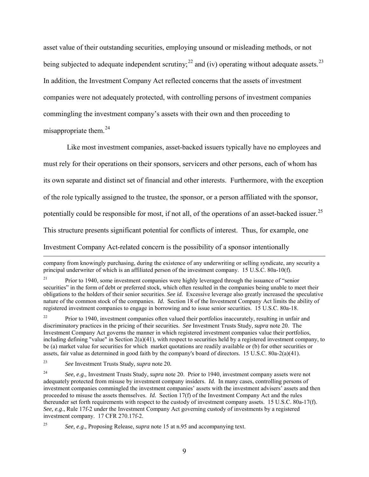asset value of their outstanding securities, employing unsound or misleading methods, or not being subjected to adequate independent scrutiny;<sup>[22](#page-8-0)</sup> and (iv) operating without adequate assets.<sup>[23](#page-8-1)</sup> In addition, the Investment Company Act reflected concerns that the assets of investment companies were not adequately protected, with controlling persons of investment companies commingling the investment company's assets with their own and then proceeding to misappropriate them.<sup>[24](#page-8-2)</sup>

<span id="page-8-4"></span>Like most investment companies, asset-backed issuers typically have no employees and must rely for their operations on their sponsors, servicers and other persons, each of whom has its own separate and distinct set of financial and other interests. Furthermore, with the exception of the role typically assigned to the trustee, the sponsor, or a person affiliated with the sponsor, potentially could be responsible for most, if not all, of the operations of an asset-backed issuer.<sup>[25](#page-8-3)</sup> This structure presents significant potential for conflicts of interest. Thus, for example, one Investment Company Act-related concern is the possibility of a sponsor intentionally

<span id="page-8-5"></span> $\overline{a}$ 

company from knowingly purchasing, during the existence of any underwriting or selling syndicate, any security a principal underwriter of which is an affiliated person of the investment company. 15 U.S.C. 80a-10(f).

<sup>&</sup>lt;sup>21</sup> Prior to 1940, some investment companies were highly leveraged through the issuance of "senior" securities" in the form of debt or preferred stock, which often resulted in the companies being unable to meet their obligations to the holders of their senior securities. *See id.* Excessive leverage also greatly increased the speculative nature of the common stock of the companies. *Id.* Section 18 of the Investment Company Act limits the ability of registered investment companies to engage in borrowing and to issue senior securities. 15 U.S.C. 80a-18.

<span id="page-8-0"></span><sup>&</sup>lt;sup>22</sup> Prior to 1940, investment companies often valued their portfolios inaccurately, resulting in unfair and discriminatory practices in the pricing of their securities. *See* Investment Trusts Study, *supra* not[e 20.](#page-7-6) The Investment Company Act governs the manner in which registered investment companies value their portfolios, including defining "value" in Section  $2(a)(41)$ , with respect to securities held by a registered investment company, to be (a) market value for securities for which market quotations are readily available or (b) for other securities or assets, fair value as determined in good faith by the company's board of directors. 15 U.S.C. 80a-2(a)(41).

<span id="page-8-1"></span><sup>23</sup> *See* Investment Trusts Study, *supra* note [20](#page-7-6)*.*

<span id="page-8-2"></span><sup>&</sup>lt;sup>24</sup> *See, e.g., Investment Trusts Study, <i>supra* note [20.](#page-7-6) Prior to 1940, investment company assets were not adequately protected from misuse by investment company insiders. *Id.* In many cases, controlling persons of investment companies commingled the investment companies' assets with the investment advisers' assets and then proceeded to misuse the assets themselves. *Id.* Section 17(f) of the Investment Company Act and the rules thereunder set forth requirements with respect to the custody of investment company assets. 15 U.S.C. 80a-17(f). *See, e.g*., Rule 17f-2 under the Investment Company Act governing custody of investments by a registered investment company. 17 CFR 270.17f-2.

<span id="page-8-3"></span><sup>25</sup> *See, e.g.,* Proposing Release, *supra* note [15](#page-6-1) at n.95 and accompanying text.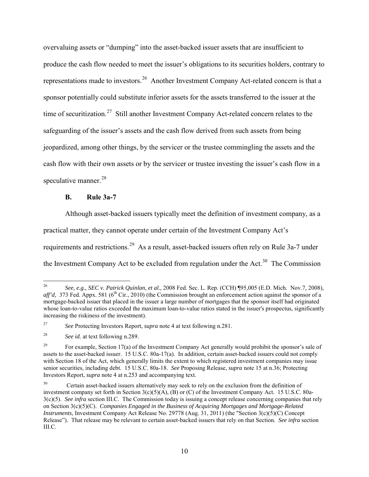overvaluing assets or "dumping" into the asset-backed issuer assets that are insufficient to produce the cash flow needed to meet the issuer's obligations to its securities holders, contrary to representations made to investors.<sup>[26](#page-9-2)</sup> Another Investment Company Act-related concern is that a sponsor potentially could substitute inferior assets for the assets transferred to the issuer at the time of securitization.<sup>27</sup> Still another Investment Company Act-related concern relates to the safeguarding of the issuer's assets and the cash flow derived from such assets from being jeopardized, among other things, by the servicer or the trustee commingling the assets and the cash flow with their own assets or by the servicer or trustee investing the issuer's cash flow in a speculative manner.<sup>[28](#page-9-4)</sup>

# <span id="page-9-1"></span><span id="page-9-0"></span>**B. Rule 3a-7**

Although asset-backed issuers typically meet the definition of investment company, as a practical matter, they cannot operate under certain of the Investment Company Act's requirements and restrictions.<sup>29</sup> As a result, asset-backed issuers often rely on Rule 3a-7 under the Investment Company Act to be excluded from regulation under the Act.<sup>[30](#page-9-6)</sup> The Commission

<span id="page-9-2"></span> $26\,$ <sup>26</sup> *See, e.g., SEC v. Patrick Quinlan, et al.,* 2008 Fed. Sec. L. Rep. (CCH) ¶95,005 (E.D. Mich. Nov.7, 2008), *aff'd*, 373 Fed. Appx. 581 (6<sup>th</sup> Cir., 2010) (the Commission brought an enforcement action against the sponsor of a mortgage-backed issuer that placed in the issuer a large number of mortgages that the sponsor itself had originated whose loan-to-value ratios exceeded the maximum loan-to-value ratios stated in the issuer's prospectus, significantly increasing the riskiness of the investment).

<span id="page-9-3"></span><sup>27</sup> *See* Protecting Investors Report, *supra* note [4](#page-3-0) at text following n.281.

<span id="page-9-4"></span><sup>28</sup> *See id.* at text following n.289.

<span id="page-9-5"></span><sup>&</sup>lt;sup>29</sup> For example, Section 17(a) of the Investment Company Act generally would prohibit the sponsor's sale of assets to the asset-backed issuer. 15 U.S.C. 80a-17(a). In addition, certain asset-backed issuers could not comply with Section 18 of the Act, which generally limits the extent to which registered investment companies may issue senior securities, including debt. 15 U.S.C. 80a-18. *See* Proposing Release, *supra* note [15](#page-6-1) at n.36; Protecting Investors Report, *supra* note [4](#page-3-0) at n.253 and accompanying text.

<span id="page-9-6"></span><sup>&</sup>lt;sup>30</sup> Certain asset-backed issuers alternatively may seek to rely on the exclusion from the definition of investment company set forth in Section  $3(c)(5)(A)$ , (B) or (C) of the Investment Company Act. 15 U.S.C. 80a-3(c)(5). *See infra* section III.C. The Commission today is issuing a concept release concerning companies that rely on Section 3(c)(5)(C). *Companies Engaged in the Business of Acquiring Mortgages and Mortgage-Related Instruments*, Investment Company Act Release No. 29778 (Aug. 31, 2011) (the "Section 3(c)(5)(C) Concept Release"). That release may be relevant to certain asset-backed issuers that rely on that Section. *See infra* section III.C.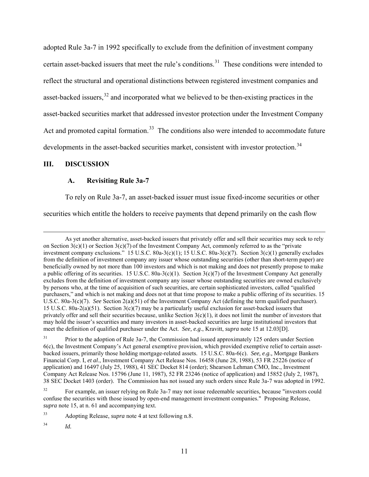adopted Rule 3a-7 in 1992 specifically to exclude from the definition of investment company certain asset-backed issuers that meet the rule's conditions.<sup>31</sup> These conditions were intended to reflect the structural and operational distinctions between registered investment companies and asset-backed issuers,<sup>32</sup> and incorporated what we believed to be then-existing practices in the asset-backed securities market that addressed investor protection under the Investment Company Act and promoted capital formation.<sup>33</sup> The conditions also were intended to accommodate future developments in the asset-backed securities market, consistent with investor protection.<sup>[34](#page-10-3)</sup>

## **III. DISCUSSION**

 $\overline{a}$ 

# **A. Revisiting Rule 3a-7**

To rely on Rule 3a-7, an asset-backed issuer must issue fixed-income securities or other

securities which entitle the holders to receive payments that depend primarily on the cash flow

As yet another alternative, asset-backed issuers that privately offer and sell their securities may seek to rely on Section  $3(c)(1)$  or Section  $3(c)(7)$  of the Investment Company Act, commonly referred to as the "private" investment company exclusions." 15 U.S.C. 80a-3(c)(1); 15 U.S.C. 80a-3(c)(7). Section 3(c)(1) generally excludes from the definition of investment company any issuer whose outstanding securities (other than short-term paper) are beneficially owned by not more than 100 investors and which is not making and does not presently propose to make a public offering of its securities. 15 U.S.C. 80a-3(c)(1). Section 3(c)(7) of the Investment Company Act generally excludes from the definition of investment company any issuer whose outstanding securities are owned exclusively by persons who, at the time of acquisition of such securities, are certain sophisticated investors, called "qualified purchasers," and which is not making and does not at that time propose to make a public offering of its securities. 15 U.S.C. 80a-3(c)(7). *See* Section 2(a)(51) of the Investment Company Act (defining the term qualified purchaser). 15 U.S.C. 80a-2(a)(51). Section 3(c)(7) may be a particularly useful exclusion for asset-backed issuers that privately offer and sell their securities because, unlike Section  $3(c)(1)$ , it does not limit the number of investors that may hold the issuer's securities and many investors in asset-backed securities are large institutional investors that meet the definition of qualified purchaser under the Act. *See, e.g*., Kravitt, *supra* note [15](#page-6-1) at 12.03[D].

<span id="page-10-0"></span><sup>&</sup>lt;sup>31</sup> Prior to the adoption of Rule 3a-7, the Commission had issued approximately 125 orders under Section 6(c), the Investment Company's Act general exemptive provision, which provided exemptive relief to certain assetbacked issuers, primarily those holding mortgage-related assets. 15 U.S.C. 80a-6(c). *See, e.g.,* Mortgage Bankers Financial Corp. I, *et al*., Investment Company Act Release Nos. 16458 (June 28, 1988), 53 FR 25226 (notice of application) and 16497 (July 25, 1988), 41 SEC Docket 814 (order); Shearson Lehman CMO, Inc., Investment Company Act Release Nos. 15796 (June 11, 1987), 52 FR 23246 (notice of application) and 15852 (July 2, 1987), 38 SEC Docket 1403 (order). The Commission has not issued any such orders since Rule 3a-7 was adopted in 1992.

<span id="page-10-1"></span><sup>&</sup>lt;sup>32</sup> For example, an issuer relying on Rule 3a-7 may not issue redeemable securities, because "investors could" confuse the securities with those issued by open-end management investment companies." Proposing Release, *supra* note [15,](#page-6-1) at n. 61 and accompanying text.

<span id="page-10-2"></span><sup>33</sup> Adopting Release, *supra* note [4](#page-3-0) at text following n.8.

<span id="page-10-3"></span><sup>34</sup> *Id.*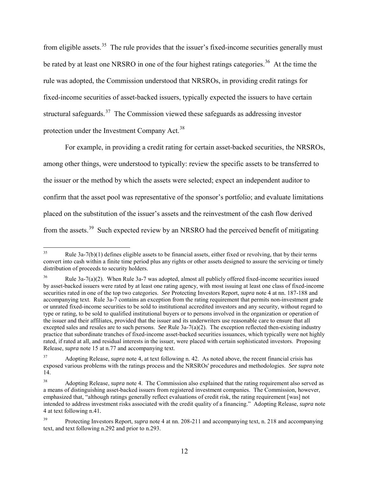<span id="page-11-6"></span>from eligible assets.<sup>[35](#page-11-1)</sup> The rule provides that the issuer's fixed-income securities generally must be rated by at least one NRSRO in one of the four highest ratings categories.<sup>[36](#page-11-2)</sup> At the time the rule was adopted, the Commission understood that NRSROs, in providing credit ratings for fixed-income securities of asset-backed issuers, typically expected the issuers to have certain structural safeguards.<sup>[37](#page-11-3)</sup> The Commission viewed these safeguards as addressing investor protection under the Investment Company Act.<sup>[38](#page-11-4)</sup>

<span id="page-11-0"></span>For example, in providing a credit rating for certain asset-backed securities, the NRSROs, among other things, were understood to typically: review the specific assets to be transferred to the issuer or the method by which the assets were selected; expect an independent auditor to confirm that the asset pool was representative of the sponsor's portfolio; and evaluate limitations placed on the substitution of the issuer's assets and the reinvestment of the cash flow derived from the assets.<sup>[39](#page-11-5)</sup> Such expected review by an NRSRO had the perceived benefit of mitigating

<span id="page-11-1"></span><sup>35</sup> Rule  $3a-7(b)(1)$  defines eligible assets to be financial assets, either fixed or revolving, that by their terms convert into cash within a finite time period plus any rights or other assets designed to assure the servicing or timely distribution of proceeds to security holders.

<span id="page-11-2"></span><sup>36</sup> Rule 3a-7(a)(2). When Rule 3a-7 was adopted, almost all publicly offered fixed-income securities issued by asset-backed issuers were rated by at least one rating agency, with most issuing at least one class of fixed-income securities rated in one of the top two categories. *See* Protecting Investors Report, *supra* not[e 4](#page-3-0) at nn. 187-188 and accompanying text. Rule 3a-7 contains an exception from the rating requirement that permits non-investment grade or unrated fixed-income securities to be sold to institutional accredited investors and any security, without regard to type or rating, to be sold to qualified institutional buyers or to persons involved in the organization or operation of the issuer and their affiliates, provided that the issuer and its underwriters use reasonable care to ensure that all excepted sales and resales are to such persons. *See* Rule 3a-7(a)(2). The exception reflected then-existing industry practice that subordinate tranches of fixed-income asset-backed securities issuances, which typically were not highly rated, if rated at all, and residual interests in the issuer, were placed with certain sophisticated investors. Proposing Release, *supra* note [15](#page-6-1) at n.77 and accompanying text.

<span id="page-11-3"></span><sup>37</sup> Adopting Release, *supra* note [4,](#page-3-0) at text following n. 42. As noted above, the recent financial crisis has exposed various problems with the ratings process and the NRSROs' procedures and methodologies. *See supra* note [14.](#page-5-5)

<span id="page-11-4"></span><sup>38</sup> Adopting Release, *supra* note [4.](#page-3-0) The Commission also explained that the rating requirement also served as a means of distinguishing asset-backed issuers from registered investment companies. The Commission, however, emphasized that, "although ratings generally reflect evaluations of credit risk, the rating requirement [was] not intended to address investment risks associated with the credit quality of a financing." Adopting Release, *supra* note [4](#page-3-0) at text following n.41*.*

<span id="page-11-5"></span><sup>39</sup> Protecting Investors Report, *supra* note [4](#page-3-0) at nn. 208-211 and accompanying text, n. 218 and accompanying text, and text following n.292 and prior to n.293.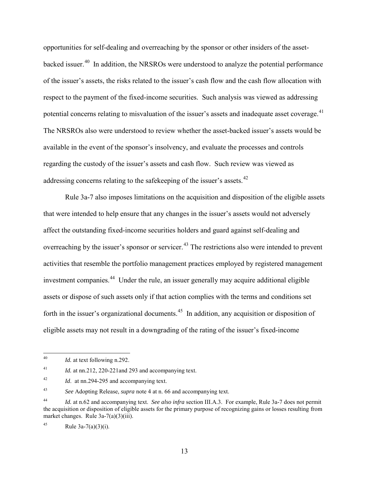opportunities for self-dealing and overreaching by the sponsor or other insiders of the assetbacked issuer.<sup>40</sup> In addition, the NRSROs were understood to analyze the potential performance of the issuer's assets, the risks related to the issuer's cash flow and the cash flow allocation with respect to the payment of the fixed-income securities. Such analysis was viewed as addressing potential concerns relating to misvaluation of the issuer's assets and inadequate asset coverage.<sup>41</sup> The NRSROs also were understood to review whether the asset-backed issuer's assets would be available in the event of the sponsor's insolvency, and evaluate the processes and controls regarding the custody of the issuer's assets and cash flow. Such review was viewed as addressing concerns relating to the safekeeping of the issuer's assets.<sup>[42](#page-12-2)</sup>

Rule 3a-7 also imposes limitations on the acquisition and disposition of the eligible assets that were intended to help ensure that any changes in the issuer's assets would not adversely affect the outstanding fixed-income securities holders and guard against self-dealing and overreaching by the issuer's sponsor or servicer.<sup>[43](#page-12-3)</sup> The restrictions also were intended to prevent activities that resemble the portfolio management practices employed by registered management investment companies.<sup>44</sup> Under the rule, an issuer generally may acquire additional eligible assets or dispose of such assets only if that action complies with the terms and conditions set forth in the issuer's organizational documents.<sup>[45](#page-12-5)</sup> In addition, any acquisition or disposition of eligible assets may not result in a downgrading of the rating of the issuer's fixed-income

<span id="page-12-7"></span><span id="page-12-6"></span><span id="page-12-0"></span> $40\,$ *Id.* at text following n.292.

<span id="page-12-1"></span><sup>&</sup>lt;sup>41</sup> *Id.* at nn.212, 220-221 and 293 and accompanying text.

<span id="page-12-2"></span><sup>42</sup> *Id*. at nn.294-295 and accompanying text.

<span id="page-12-3"></span><sup>43</sup> *See* Adopting Release, *supra* not[e 4](#page-3-0) at n. 66 and accompanying text.

<span id="page-12-4"></span><sup>44</sup> *Id.* at n.62 and accompanying text. *See also infra* section III.A.3. For example, Rule 3a-7 does not permit the acquisition or disposition of eligible assets for the primary purpose of recognizing gains or losses resulting from market changes. Rule 3a-7(a)(3)(iii).

<span id="page-12-5"></span><sup>45</sup> Rule  $3a-7(a)(3)(i)$ .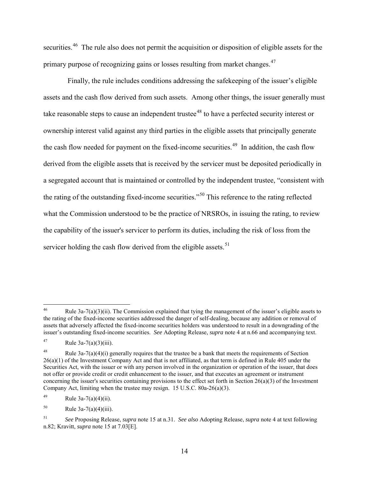securities.<sup>[46](#page-13-0)</sup> The rule also does not permit the acquisition or disposition of eligible assets for the primary purpose of recognizing gains or losses resulting from market changes.<sup>[47](#page-13-1)</sup>

Finally, the rule includes conditions addressing the safekeeping of the issuer's eligible assets and the cash flow derived from such assets. Among other things, the issuer generally must take reasonable steps to cause an independent trustee<sup>48</sup> to have a perfected security interest or ownership interest valid against any third parties in the eligible assets that principally generate the cash flow needed for payment on the fixed-income securities.<sup>49</sup> In addition, the cash flow derived from the eligible assets that is received by the servicer must be deposited periodically in a segregated account that is maintained or controlled by the independent trustee, "consistent with the rating of the outstanding fixed-income securities."[50](#page-13-4) This reference to the rating reflected what the Commission understood to be the practice of NRSROs, in issuing the rating, to review the capability of the issuer's servicer to perform its duties, including the risk of loss from the servicer holding the cash flow derived from the eligible assets.<sup>[51](#page-13-5)</sup>

<span id="page-13-0"></span><sup>46</sup> Rule  $3a-7(a)(3)(ii)$ . The Commission explained that tying the management of the issuer's eligible assets to the rating of the fixed-income securities addressed the danger of self-dealing, because any addition or removal of assets that adversely affected the fixed-income securities holders was understood to result in a downgrading of the issuer's outstanding fixed-income securities. *See* Adopting Release, *supra* note [4](#page-3-0) at n.66 and accompanying text.

<span id="page-13-1"></span><sup>47</sup> Rule  $3a-7(a)(3)(iii)$ .

<span id="page-13-2"></span><sup>&</sup>lt;sup>48</sup> Rule 3a-7(a)(4)(i) generally requires that the trustee be a bank that meets the requirements of Section  $26(a)(1)$  of the Investment Company Act and that is not affiliated, as that term is defined in Rule 405 under the Securities Act, with the issuer or with any person involved in the organization or operation of the issuer, that does not offer or provide credit or credit enhancement to the issuer, and that executes an agreement or instrument concerning the issuer's securities containing provisions to the effect set forth in Section  $26(a)(3)$  of the Investment Company Act, limiting when the trustee may resign. 15 U.S.C. 80a-26(a)(3).

<span id="page-13-3"></span><sup>49</sup> Rule  $3a-7(a)(4)(ii)$ .

<span id="page-13-4"></span> $50$  Rule 3a-7(a)(4)(iii).

<span id="page-13-5"></span><sup>51</sup> *See* Proposing Release, *supra* note [15](#page-6-1) at n.31. *See also* Adopting Release, *supra* not[e 4](#page-3-0) at text following n.82; Kravitt, *supra* note [15](#page-6-1) at 7.03[E].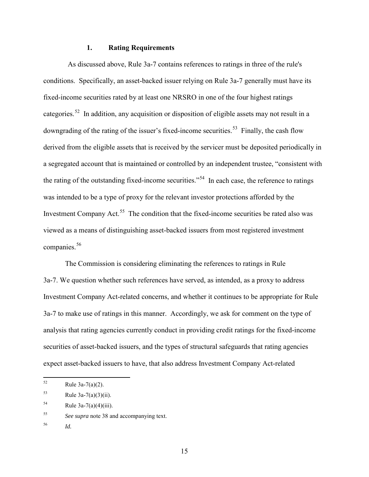#### **1. Rating Requirements**

As discussed above, Rule 3a-7 contains references to ratings in three of the rule's conditions. Specifically, an asset-backed issuer relying on Rule 3a-7 generally must have its fixed-income securities rated by at least one NRSRO in one of the four highest ratings categories.<sup>[52](#page-14-0)</sup> In addition, any acquisition or disposition of eligible assets may not result in a downgrading of the rating of the issuer's fixed-income securities.<sup>[53](#page-14-1)</sup> Finally, the cash flow derived from the eligible assets that is received by the servicer must be deposited periodically in a segregated account that is maintained or controlled by an independent trustee, "consistent with the rating of the outstanding fixed-income securities."[54](#page-14-2) In each case, the reference to ratings was intended to be a type of proxy for the relevant investor protections afforded by the Investment Company Act.<sup>[55](#page-14-3)</sup> The condition that the fixed-income securities be rated also was viewed as a means of distinguishing asset-backed issuers from most registered investment companies.<sup>[56](#page-14-4)</sup>

The Commission is considering eliminating the references to ratings in Rule 3a-7. We question whether such references have served, as intended, as a proxy to address Investment Company Act-related concerns, and whether it continues to be appropriate for Rule 3a-7 to make use of ratings in this manner. Accordingly, we ask for comment on the type of analysis that rating agencies currently conduct in providing credit ratings for the fixed-income securities of asset-backed issuers, and the types of structural safeguards that rating agencies expect asset-backed issuers to have, that also address Investment Company Act-related

<span id="page-14-0"></span> $52$ Rule  $3a-7(a)(2)$ .

<span id="page-14-1"></span> $53$  Rule 3a-7(a)(3)(ii).

<span id="page-14-2"></span> $54$  Rule 3a-7(a)(4)(iii).

<span id="page-14-3"></span><sup>55</sup> *See supra* note [38](#page-11-0) and accompanying text.

<span id="page-14-4"></span><sup>56</sup> *Id.*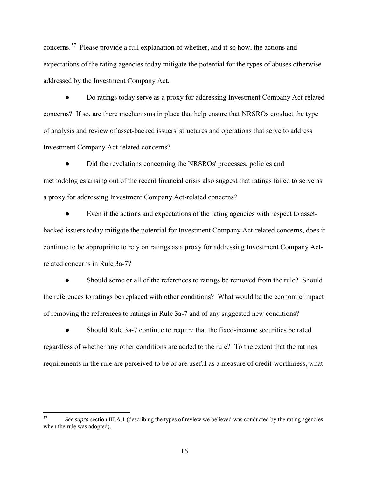concerns.<sup>[57](#page-15-0)</sup> Please provide a full explanation of whether, and if so how, the actions and expectations of the rating agencies today mitigate the potential for the types of abuses otherwise addressed by the Investment Company Act.

● Do ratings today serve as a proxy for addressing Investment Company Act-related concerns? If so, are there mechanisms in place that help ensure that NRSROs conduct the type of analysis and review of asset-backed issuers' structures and operations that serve to address Investment Company Act-related concerns?

Did the revelations concerning the NRSROs' processes, policies and methodologies arising out of the recent financial crisis also suggest that ratings failed to serve as a proxy for addressing Investment Company Act-related concerns?

Even if the actions and expectations of the rating agencies with respect to assetbacked issuers today mitigate the potential for Investment Company Act-related concerns, does it continue to be appropriate to rely on ratings as a proxy for addressing Investment Company Actrelated concerns in Rule 3a-7?

Should some or all of the references to ratings be removed from the rule? Should the references to ratings be replaced with other conditions? What would be the economic impact of removing the references to ratings in Rule 3a-7 and of any suggested new conditions?

Should Rule 3a-7 continue to require that the fixed-income securities be rated regardless of whether any other conditions are added to the rule? To the extent that the ratings requirements in the rule are perceived to be or are useful as a measure of credit-worthiness, what

<span id="page-15-0"></span><sup>57</sup> See supra section III.A.1 (describing the types of review we believed was conducted by the rating agencies when the rule was adopted).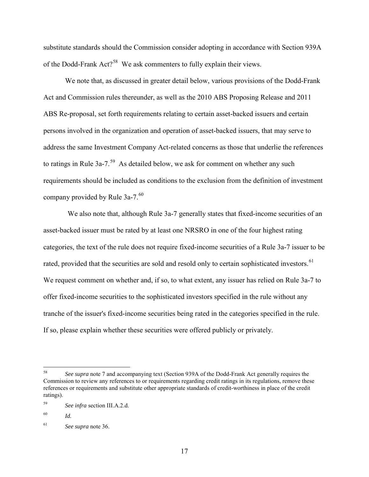substitute standards should the Commission consider adopting in accordance with Section 939A of the Dodd-Frank Act?<sup>[58](#page-16-0)</sup> We ask commenters to fully explain their views.

We note that, as discussed in greater detail below, various provisions of the Dodd-Frank Act and Commission rules thereunder, as well as the 2010 ABS Proposing Release and 2011 ABS Re-proposal, set forth requirements relating to certain asset-backed issuers and certain persons involved in the organization and operation of asset-backed issuers, that may serve to address the same Investment Company Act-related concerns as those that underlie the references to ratings in Rule 3a-7.<sup>[59](#page-16-1)</sup> As detailed below, we ask for comment on whether any such requirements should be included as conditions to the exclusion from the definition of investment company provided by Rule  $3a-7.^{60}$  $3a-7.^{60}$  $3a-7.^{60}$ 

We also note that, although Rule 3a-7 generally states that fixed-income securities of an asset-backed issuer must be rated by at least one NRSRO in one of the four highest rating categories, the text of the rule does not require fixed-income securities of a Rule 3a-7 issuer to be rated, provided that the securities are sold and resold only to certain sophisticated investors.<sup>[61](#page-16-3)</sup> We request comment on whether and, if so, to what extent, any issuer has relied on Rule 3a-7 to offer fixed-income securities to the sophisticated investors specified in the rule without any tranche of the issuer's fixed-income securities being rated in the categories specified in the rule. If so, please explain whether these securities were offered publicly or privately.

<span id="page-16-0"></span><sup>58</sup> 58 *See supra* note [7](#page-3-5) and accompanying text (Section 939A of the Dodd-Frank Act generally requires the Commission to review any references to or requirements regarding credit ratings in its regulations, remove these references or requirements and substitute other appropriate standards of credit-worthiness in place of the credit ratings).

<span id="page-16-1"></span><sup>59</sup> *See infra* section III.A.2.d.

<span id="page-16-2"></span><sup>60</sup> *Id.*

<span id="page-16-3"></span><sup>61</sup> *See supra* note [36.](#page-11-6)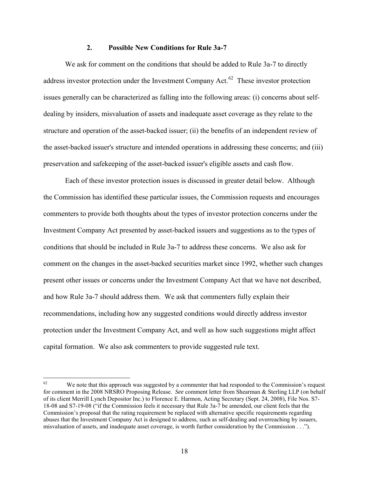## **2. Possible New Conditions for Rule 3a-7**

 We ask for comment on the conditions that should be added to Rule 3a-7 to directly address investor protection under the Investment Company Act. $62$  These investor protection issues generally can be characterized as falling into the following areas: (i) concerns about selfdealing by insiders, misvaluation of assets and inadequate asset coverage as they relate to the structure and operation of the asset-backed issuer; (ii) the benefits of an independent review of the asset-backed issuer's structure and intended operations in addressing these concerns; and (iii) preservation and safekeeping of the asset-backed issuer's eligible assets and cash flow.

Each of these investor protection issues is discussed in greater detail below. Although the Commission has identified these particular issues, the Commission requests and encourages commenters to provide both thoughts about the types of investor protection concerns under the Investment Company Act presented by asset-backed issuers and suggestions as to the types of conditions that should be included in Rule 3a-7 to address these concerns. We also ask for comment on the changes in the asset-backed securities market since 1992, whether such changes present other issues or concerns under the Investment Company Act that we have not described, and how Rule 3a-7 should address them. We ask that commenters fully explain their recommendations, including how any suggested conditions would directly address investor protection under the Investment Company Act, and well as how such suggestions might affect capital formation. We also ask commenters to provide suggested rule text.

<span id="page-17-0"></span><sup>62</sup> We note that this approach was suggested by a commenter that had responded to the Commission's request for comment in the 2008 NRSRO Proposing Release. *See* comment letter from Shearman & Sterling LLP (on behalf of its client Merrill Lynch Depositor Inc.) to Florence E. Harmon, Acting Secretary (Sept. 24, 2008), File Nos. S7- 18-08 and S7-19-08 ("if the Commission feels it necessary that Rule 3a-7 be amended, our client feels that the Commission's proposal that the rating requirement be replaced with alternative specific requirements regarding abuses that the Investment Company Act is designed to address, such as self-dealing and overreaching by issuers, misvaluation of assets, and inadequate asset coverage, is worth further consideration by the Commission . . .").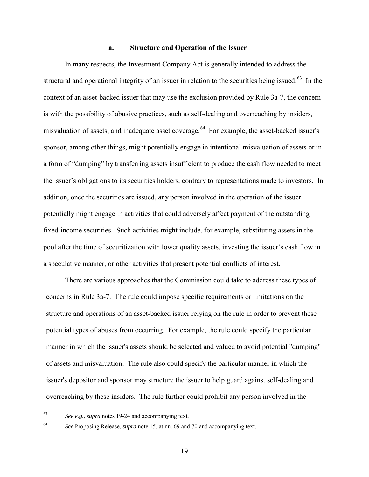#### **a. Structure and Operation of the Issuer**

In many respects, the Investment Company Act is generally intended to address the structural and operational integrity of an issuer in relation to the securities being issued.<sup>[63](#page-18-0)</sup> In the context of an asset-backed issuer that may use the exclusion provided by Rule 3a-7, the concern is with the possibility of abusive practices, such as self-dealing and overreaching by insiders, misvaluation of assets, and inadequate asset coverage.<sup>[64](#page-18-1)</sup> For example, the asset-backed issuer's sponsor, among other things, might potentially engage in intentional misvaluation of assets or in a form of "dumping" by transferring assets insufficient to produce the cash flow needed to meet the issuer's obligations to its securities holders, contrary to representations made to investors. In addition, once the securities are issued, any person involved in the operation of the issuer potentially might engage in activities that could adversely affect payment of the outstanding fixed-income securities. Such activities might include, for example, substituting assets in the pool after the time of securitization with lower quality assets, investing the issuer's cash flow in a speculative manner, or other activities that present potential conflicts of interest.

There are various approaches that the Commission could take to address these types of concerns in Rule 3a-7. The rule could impose specific requirements or limitations on the structure and operations of an asset-backed issuer relying on the rule in order to prevent these potential types of abuses from occurring. For example, the rule could specify the particular manner in which the issuer's assets should be selected and valued to avoid potential "dumping" of assets and misvaluation. The rule also could specify the particular manner in which the issuer's depositor and sponsor may structure the issuer to help guard against self-dealing and overreaching by these insiders. The rule further could prohibit any person involved in the

<span id="page-18-0"></span><sup>63</sup> See e.g., *supra* note[s 19-](#page-7-7)[24](#page-8-4) and accompanying text.

<span id="page-18-1"></span>

<sup>64</sup> *See* Proposing Release, *supra* note [15,](#page-6-1) at nn. 69 and 70 and accompanying text.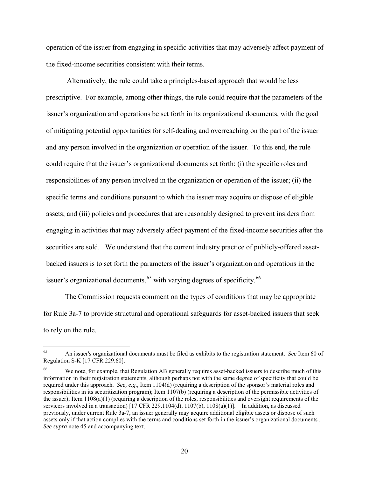operation of the issuer from engaging in specific activities that may adversely affect payment of the fixed-income securities consistent with their terms.

 Alternatively, the rule could take a principles-based approach that would be less prescriptive. For example, among other things, the rule could require that the parameters of the issuer's organization and operations be set forth in its organizational documents, with the goal of mitigating potential opportunities for self-dealing and overreaching on the part of the issuer and any person involved in the organization or operation of the issuer. To this end, the rule could require that the issuer's organizational documents set forth: (i) the specific roles and responsibilities of any person involved in the organization or operation of the issuer; (ii) the specific terms and conditions pursuant to which the issuer may acquire or dispose of eligible assets; and (iii) policies and procedures that are reasonably designed to prevent insiders from engaging in activities that may adversely affect payment of the fixed-income securities after the securities are sold. We understand that the current industry practice of publicly-offered assetbacked issuers is to set forth the parameters of the issuer's organization and operations in the issuer's organizational documents,  $65$  with varying degrees of specificity.  $66$ 

 The Commission requests comment on the types of conditions that may be appropriate for Rule 3a-7 to provide structural and operational safeguards for asset-backed issuers that seek to rely on the rule.

<span id="page-19-0"></span><sup>65</sup> 65 An issuer's organizational documents must be filed as exhibits to the registration statement. *See* Item 60 of Regulation S-K [17 CFR 229.60].

<span id="page-19-1"></span><sup>&</sup>lt;sup>66</sup> We note, for example, that Regulation AB generally requires asset-backed issuers to describe much of this information in their registration statements, although perhaps not with the same degree of specificity that could be required under this approach. *See, e.g.,* Item 1104(d) (requiring a description of the sponsor's material roles and responsibilities in its securitization program); Item 1107(b) (requiring a description of the permissible activities of the issuer); Item 1108(a)(1) (requiring a description of the roles, responsibilities and oversight requirements of the servicers involved in a transaction) [17 CFR 229.1104(d), 1107(b), 1108(a)(1)]. In addition, as discussed previously, under current Rule 3a-7, an issuer generally may acquire additional eligible assets or dispose of such assets only if that action complies with the terms and conditions set forth in the issuer's organizational documents . *See supra* note [45](#page-12-6) and accompanying text.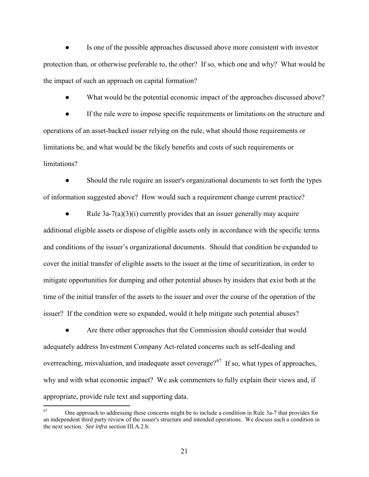Is one of the possible approaches discussed above more consistent with investor protection than, or otherwise preferable to, the other? If so, which one and why? What would be the impact of such an approach on capital formation?

What would be the potential economic impact of the approaches discussed above?

If the rule were to impose specific requirements or limitations on the structure and operations of an asset-backed issuer relying on the rule, what should those requirements or limitations be, and what would be the likely benefits and costs of such requirements or limitations?

Should the rule require an issuer's organizational documents to set forth the types of information suggested above? How would such a requirement change current practice?

Rule  $3a-7(a)(3)(i)$  currently provides that an issuer generally may acquire additional eligible assets or dispose of eligible assets only in accordance with the specific terms and conditions of the issuer's organizational documents. Should that condition be expanded to cover the initial transfer of eligible assets to the issuer at the time of securitization, in order to mitigate opportunities for dumping and other potential abuses by insiders that exist both at the time of the initial transfer of the assets to the issuer and over the course of the operation of the issuer? If the condition were so expanded, would it help mitigate such potential abuses?

Are there other approaches that the Commission should consider that would adequately address Investment Company Act-related concerns such as self-dealing and overreaching, misvaluation, and inadequate asset coverage?<sup>[67](#page-20-0)</sup> If so, what types of approaches, why and with what economic impact? We ask commenters to fully explain their views and, if appropriate, provide rule text and supporting data.

 $\overline{a}$ 

<span id="page-20-0"></span><sup>67</sup> One approach to addressing these concerns might be to include a condition in Rule 3a-7 that provides for an independent third party review of the issuer's structure and intended operations. We discuss such a condition in the next section. *See infra* section III.A.2.b.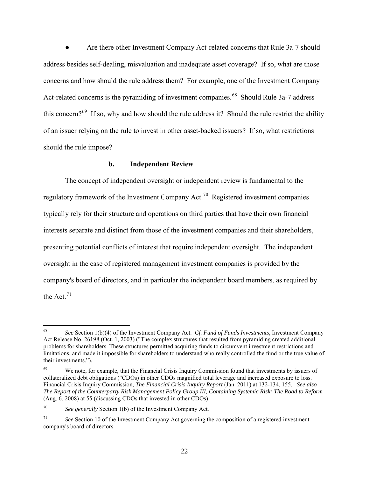Are there other Investment Company Act-related concerns that Rule 3a-7 should address besides self-dealing, misvaluation and inadequate asset coverage? If so, what are those concerns and how should the rule address them? For example, one of the Investment Company Act-related concerns is the pyramiding of investment companies.<sup>[68](#page-21-0)</sup> Should Rule 3a-7 address this concern?<sup>[69](#page-21-1)</sup> If so, why and how should the rule address it? Should the rule restrict the ability of an issuer relying on the rule to invest in other asset-backed issuers? If so, what restrictions should the rule impose?

#### <span id="page-21-4"></span>**b. Independent Review**

The concept of independent oversight or independent review is fundamental to the regulatory framework of the Investment Company Act.[70](#page-21-2) Registered investment companies typically rely for their structure and operations on third parties that have their own financial interests separate and distinct from those of the investment companies and their shareholders, presenting potential conflicts of interest that require independent oversight. The independent oversight in the case of registered management investment companies is provided by the company's board of directors, and in particular the independent board members, as required by the Act. $71$ 

<span id="page-21-0"></span><sup>68</sup> 68 *See* Section 1(b)(4) of the Investment Company Act. *Cf. Fund of Funds Investments*, Investment Company Act Release No. 26198 (Oct. 1, 2003) ("The complex structures that resulted from pyramiding created additional problems for shareholders. These structures permitted acquiring funds to circumvent investment restrictions and limitations, and made it impossible for shareholders to understand who really controlled the fund or the true value of their investments.").

<span id="page-21-1"></span>We note, for example, that the Financial Crisis Inquiry Commission found that investments by issuers of collateralized debt obligations ("CDOs) in other CDOs magnified total leverage and increased exposure to loss. Financial Crisis Inquiry Commission, *The Financial Crisis Inquiry Report* (Jan. 2011) at 132-134, 155. *See also The Report of the Counterparty Risk Management Policy Group III, Containing Systemic Risk: The Road to Reform* (Aug. 6, 2008) at 55 (discussing CDOs that invested in other CDOs).

<span id="page-21-2"></span><sup>70</sup> *See generally* Section 1(b) of the Investment Company Act.

<span id="page-21-3"></span><sup>71</sup> *See* Section 10 of the Investment Company Act governing the composition of a registered investment company's board of directors.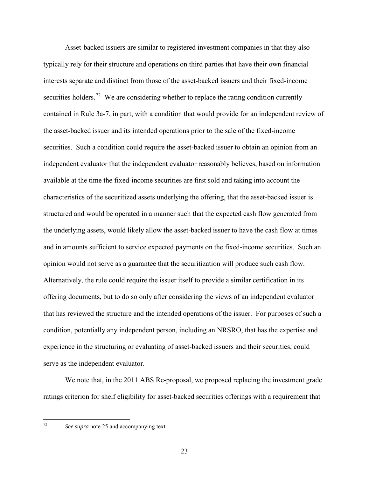Asset-backed issuers are similar to registered investment companies in that they also typically rely for their structure and operations on third parties that have their own financial interests separate and distinct from those of the asset-backed issuers and their fixed-income securities holders.<sup>[72](#page-22-0)</sup> We are considering whether to replace the rating condition currently contained in Rule 3a-7, in part, with a condition that would provide for an independent review of the asset-backed issuer and its intended operations prior to the sale of the fixed-income securities. Such a condition could require the asset-backed issuer to obtain an opinion from an independent evaluator that the independent evaluator reasonably believes, based on information available at the time the fixed-income securities are first sold and taking into account the characteristics of the securitized assets underlying the offering, that the asset-backed issuer is structured and would be operated in a manner such that the expected cash flow generated from the underlying assets, would likely allow the asset-backed issuer to have the cash flow at times and in amounts sufficient to service expected payments on the fixed-income securities. Such an opinion would not serve as a guarantee that the securitization will produce such cash flow. Alternatively, the rule could require the issuer itself to provide a similar certification in its offering documents, but to do so only after considering the views of an independent evaluator that has reviewed the structure and the intended operations of the issuer. For purposes of such a condition, potentially any independent person, including an NRSRO, that has the expertise and experience in the structuring or evaluating of asset-backed issuers and their securities, could serve as the independent evaluator.

We note that, in the 2011 ABS Re-proposal, we proposed replacing the investment grade ratings criterion for shelf eligibility for asset-backed securities offerings with a requirement that

<span id="page-22-0"></span> $72\,$ 

See supra note [25](#page-8-5) and accompanying text.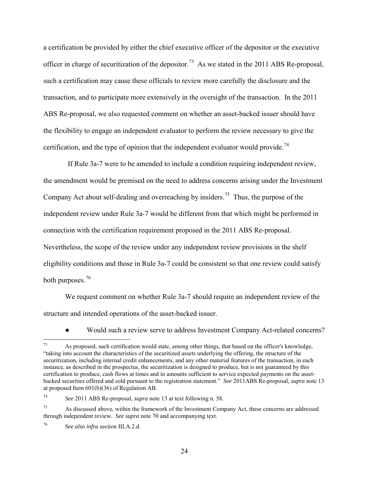a certification be provided by either the chief executive officer of the depositor or the executive officer in charge of securitization of the depositor.<sup>73</sup> As we stated in the 2011 ABS Re-proposal, such a certification may cause these officials to review more carefully the disclosure and the transaction, and to participate more extensively in the oversight of the transaction. In the 2011 ABS Re-proposal, we also requested comment on whether an asset-backed issuer should have the flexibility to engage an independent evaluator to perform the review necessary to give the certification, and the type of opinion that the independent evaluator would provide.<sup>[74](#page-23-1)</sup>

If Rule 3a-7 were to be amended to include a condition requiring independent review, the amendment would be premised on the need to address concerns arising under the Investment Company Act about self-dealing and overreaching by insiders.<sup>[75](#page-23-2)</sup> Thus, the purpose of the independent review under Rule 3a-7 would be different from that which might be performed in connection with the certification requirement proposed in the 2011 ABS Re-proposal. Nevertheless, the scope of the review under any independent review provisions in the shelf eligibility conditions and those in Rule 3a-7 could be consistent so that one review could satisfy both purposes.<sup>[76](#page-23-3)</sup>

We request comment on whether Rule 3a-7 should require an independent review of the structure and intended operations of the asset-backed issuer.

● Would such a review serve to address Investment Company Act-related concerns?

<span id="page-23-0"></span><sup>73</sup> As proposed, such certification would state, among other things, that based on the officer's knowledge, "taking into account the characteristics of the securitized assets underlying the offering, the structure of the securitization, including internal credit enhancements, and any other material features of the transaction, in each instance, as described in the prospectus, the securitization is designed to produce, but is not guaranteed by this certification to produce, cash flows at times and in amounts sufficient to service expected payments on the assetbacked securities offered and sold pursuant to the registration statement." *See* 2011ABS Re-proposal*, supra* note [13](#page-5-4) at proposed Item 601(b)(36) of Regulation AB.

<span id="page-23-1"></span><sup>74</sup> *See* 2011 ABS Re-proposal, *supra* not[e 13](#page-5-4) at text following n. 58.

<span id="page-23-2"></span><sup>75</sup> As discussed above, within the framework of the Investment Company Act, these concerns are addressed through independent review. *See supra* note [70](#page-21-4) and accompanying text.

<span id="page-23-3"></span><sup>76</sup> *See also infra* section III.A.2.d.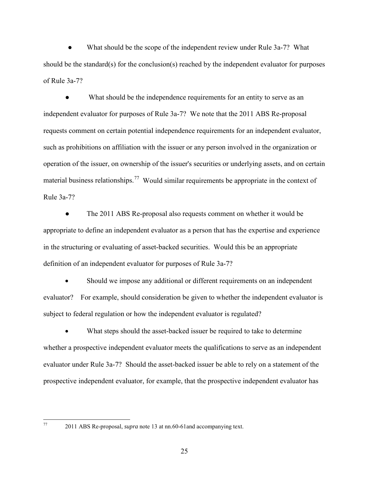What should be the scope of the independent review under Rule 3a-7? What should be the standard(s) for the conclusion(s) reached by the independent evaluator for purposes of Rule 3a-7?

What should be the independence requirements for an entity to serve as an independent evaluator for purposes of Rule 3a-7? We note that the 2011 ABS Re-proposal requests comment on certain potential independence requirements for an independent evaluator, such as prohibitions on affiliation with the issuer or any person involved in the organization or operation of the issuer, on ownership of the issuer's securities or underlying assets, and on certain material business relationships.<sup>[77](#page-24-0)</sup> Would similar requirements be appropriate in the context of Rule 3a-7?

The 2011 ABS Re-proposal also requests comment on whether it would be appropriate to define an independent evaluator as a person that has the expertise and experience in the structuring or evaluating of asset-backed securities. Would this be an appropriate definition of an independent evaluator for purposes of Rule 3a-7?

• Should we impose any additional or different requirements on an independent evaluator? For example, should consideration be given to whether the independent evaluator is subject to federal regulation or how the independent evaluator is regulated?

• What steps should the asset-backed issuer be required to take to determine whether a prospective independent evaluator meets the qualifications to serve as an independent evaluator under Rule 3a-7? Should the asset-backed issuer be able to rely on a statement of the prospective independent evaluator, for example, that the prospective independent evaluator has

<span id="page-24-0"></span> $77\,$ 

<sup>2011</sup> ABS Re-proposal, *supra* note [13](#page-5-4) at nn.60-61and accompanying text.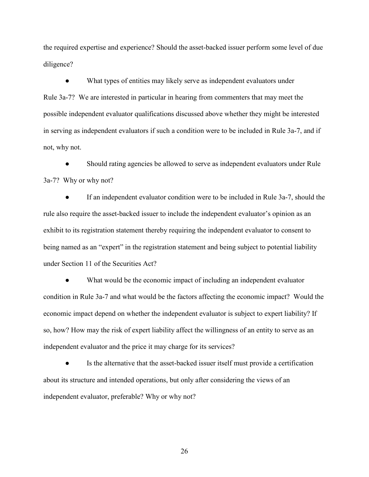the required expertise and experience? Should the asset-backed issuer perform some level of due diligence?

● What types of entities may likely serve as independent evaluators under Rule 3a-7? We are interested in particular in hearing from commenters that may meet the possible independent evaluator qualifications discussed above whether they might be interested in serving as independent evaluators if such a condition were to be included in Rule 3a-7, and if not, why not.

Should rating agencies be allowed to serve as independent evaluators under Rule 3a-7? Why or why not?

● If an independent evaluator condition were to be included in Rule 3a-7, should the rule also require the asset-backed issuer to include the independent evaluator's opinion as an exhibit to its registration statement thereby requiring the independent evaluator to consent to being named as an "expert" in the registration statement and being subject to potential liability under Section 11 of the Securities Act?

What would be the economic impact of including an independent evaluator condition in Rule 3a-7 and what would be the factors affecting the economic impact? Would the economic impact depend on whether the independent evaluator is subject to expert liability? If so, how? How may the risk of expert liability affect the willingness of an entity to serve as an independent evaluator and the price it may charge for its services?

● Is the alternative that the asset-backed issuer itself must provide a certification about its structure and intended operations, but only after considering the views of an independent evaluator, preferable? Why or why not?

26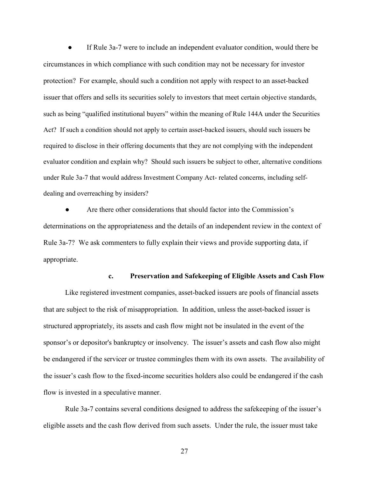If Rule 3a-7 were to include an independent evaluator condition, would there be circumstances in which compliance with such condition may not be necessary for investor protection? For example, should such a condition not apply with respect to an asset-backed issuer that offers and sells its securities solely to investors that meet certain objective standards, such as being "qualified institutional buyers" within the meaning of Rule 144A under the Securities Act? If such a condition should not apply to certain asset-backed issuers, should such issuers be required to disclose in their offering documents that they are not complying with the independent evaluator condition and explain why? Should such issuers be subject to other, alternative conditions under Rule 3a-7 that would address Investment Company Act- related concerns, including selfdealing and overreaching by insiders?

Are there other considerations that should factor into the Commission's determinations on the appropriateness and the details of an independent review in the context of Rule 3a-7? We ask commenters to fully explain their views and provide supporting data, if appropriate.

#### **c. Preservation and Safekeeping of Eligible Assets and Cash Flow**

Like registered investment companies, asset-backed issuers are pools of financial assets that are subject to the risk of misappropriation. In addition, unless the asset-backed issuer is structured appropriately, its assets and cash flow might not be insulated in the event of the sponsor's or depositor's bankruptcy or insolvency. The issuer's assets and cash flow also might be endangered if the servicer or trustee commingles them with its own assets. The availability of the issuer's cash flow to the fixed-income securities holders also could be endangered if the cash flow is invested in a speculative manner.

Rule 3a-7 contains several conditions designed to address the safekeeping of the issuer's eligible assets and the cash flow derived from such assets. Under the rule, the issuer must take

27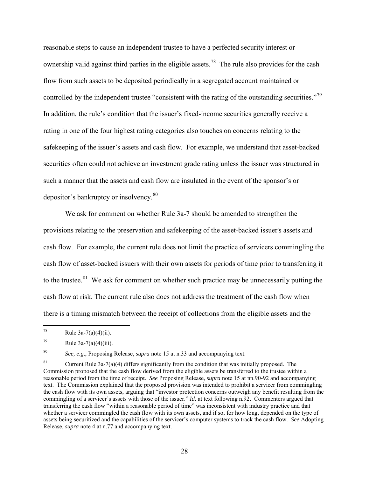reasonable steps to cause an independent trustee to have a perfected security interest or ownership valid against third parties in the eligible assets.<sup>[78](#page-27-0)</sup> The rule also provides for the cash flow from such assets to be deposited periodically in a segregated account maintained or controlled by the independent trustee "consistent with the rating of the outstanding securities."<sup>[79](#page-27-1)</sup> In addition, the rule's condition that the issuer's fixed-income securities generally receive a rating in one of the four highest rating categories also touches on concerns relating to the safekeeping of the issuer's assets and cash flow. For example, we understand that asset-backed securities often could not achieve an investment grade rating unless the issuer was structured in such a manner that the assets and cash flow are insulated in the event of the sponsor's or depositor's bankruptcy or insolvency.<sup>[80](#page-27-2)</sup>

<span id="page-27-4"></span>We ask for comment on whether Rule 3a-7 should be amended to strengthen the provisions relating to the preservation and safekeeping of the asset-backed issuer's assets and cash flow. For example, the current rule does not limit the practice of servicers commingling the cash flow of asset-backed issuers with their own assets for periods of time prior to transferring it to the trustee.<sup>[81](#page-27-3)</sup> We ask for comment on whether such practice may be unnecessarily putting the cash flow at risk. The current rule also does not address the treatment of the cash flow when there is a timing mismatch between the receipt of collections from the eligible assets and the

<span id="page-27-2"></span>80 *See, e.g*., Proposing Release, *supra* note [15](#page-6-1) at n.33 and accompanying text.

<span id="page-27-3"></span><sup>81</sup> Current Rule 3a-7(a)(4) differs significantly from the condition that was initially proposed. The Commission proposed that the cash flow derived from the eligible assets be transferred to the trustee within a reasonable period from the time of receipt. *See* Proposing Release, *supra* note [15](#page-6-1) at nn.90-92 and accompanying text. The Commission explained that the proposed provision was intended to prohibit a servicer from commingling the cash flow with its own assets, arguing that "investor protection concerns outweigh any benefit resulting from the commingling of a servicer's assets with those of the issuer." *Id.* at text following n.92. Commenters argued that transferring the cash flow "within a reasonable period of time" was inconsistent with industry practice and that whether a servicer commingled the cash flow with its own assets, and if so, for how long, depended on the type of assets being securitized and the capabilities of the servicer's computer systems to track the cash flow. *See* Adopting Release, *supra* note [4](#page-3-0) at n.77 and accompanying text.

<span id="page-27-0"></span> $78\,$ Rule  $3a-7(a)(4)(ii)$ .

<span id="page-27-1"></span><sup>79</sup> Rule  $3a-7(a)(4)(iii)$ .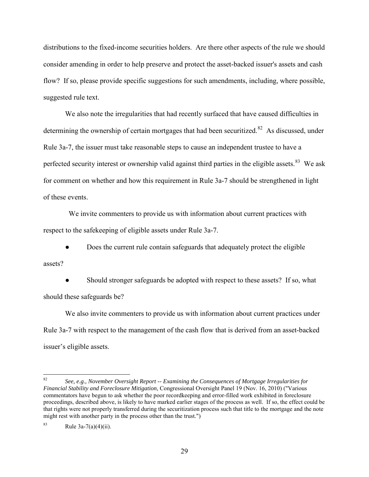distributions to the fixed-income securities holders. Are there other aspects of the rule we should consider amending in order to help preserve and protect the asset-backed issuer's assets and cash flow? If so, please provide specific suggestions for such amendments, including, where possible, suggested rule text.

We also note the irregularities that had recently surfaced that have caused difficulties in determining the ownership of certain mortgages that had been securitized.<sup>82</sup> As discussed, under Rule 3a-7, the issuer must take reasonable steps to cause an independent trustee to have a perfected security interest or ownership valid against third parties in the eligible assets.<sup>[83](#page-28-1)</sup> We ask for comment on whether and how this requirement in Rule 3a-7 should be strengthened in light of these events.

 We invite commenters to provide us with information about current practices with respect to the safekeeping of eligible assets under Rule 3a-7.

• Does the current rule contain safeguards that adequately protect the eligible assets?

Should stronger safeguards be adopted with respect to these assets? If so, what should these safeguards be?

We also invite commenters to provide us with information about current practices under Rule 3a-7 with respect to the management of the cash flow that is derived from an asset-backed issuer's eligible assets.

<span id="page-28-0"></span><sup>82</sup> 82 *See, e.g., November Oversight Report -- Examining the Consequences of Mortgage Irregularities for Financial Stability and Foreclosure Mitigation*, Congressional Oversight Panel 19 (Nov. 16, 2010) ("Various commentators have begun to ask whether the poor recordkeeping and error-filled work exhibited in foreclosure proceedings, described above, is likely to have marked earlier stages of the process as well. If so, the effect could be that rights were not properly transferred during the securitization process such that title to the mortgage and the note might rest with another party in the process other than the trust.")

<span id="page-28-1"></span><sup>83</sup> Rule 3a-7(a)(4)(ii).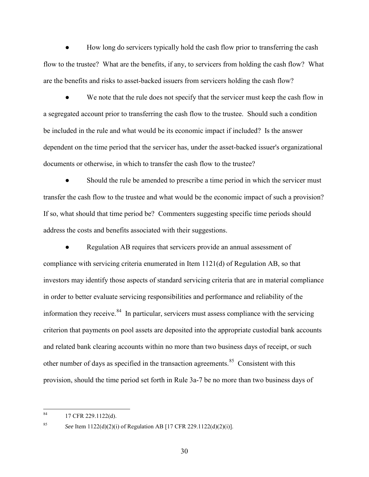How long do servicers typically hold the cash flow prior to transferring the cash flow to the trustee? What are the benefits, if any, to servicers from holding the cash flow? What are the benefits and risks to asset-backed issuers from servicers holding the cash flow?

We note that the rule does not specify that the servicer must keep the cash flow in a segregated account prior to transferring the cash flow to the trustee. Should such a condition be included in the rule and what would be its economic impact if included? Is the answer dependent on the time period that the servicer has, under the asset-backed issuer's organizational documents or otherwise, in which to transfer the cash flow to the trustee?

Should the rule be amended to prescribe a time period in which the servicer must transfer the cash flow to the trustee and what would be the economic impact of such a provision? If so, what should that time period be? Commenters suggesting specific time periods should address the costs and benefits associated with their suggestions.

Regulation AB requires that servicers provide an annual assessment of compliance with servicing criteria enumerated in Item 1121(d) of Regulation AB, so that investors may identify those aspects of standard servicing criteria that are in material compliance in order to better evaluate servicing responsibilities and performance and reliability of the information they receive.  $84$  In particular, servicers must assess compliance with the servicing criterion that payments on pool assets are deposited into the appropriate custodial bank accounts and related bank clearing accounts within no more than two business days of receipt, or such other number of days as specified in the transaction agreements.<sup>[85](#page-29-1)</sup> Consistent with this provision, should the time period set forth in Rule 3a-7 be no more than two business days of

<span id="page-29-0"></span><sup>84</sup> 17 CFR 229.1122(d).

<span id="page-29-1"></span>

<sup>85</sup> *See* Item 1122(d)(2)(i) of Regulation AB [17 CFR 229.1122(d)(2)(i)].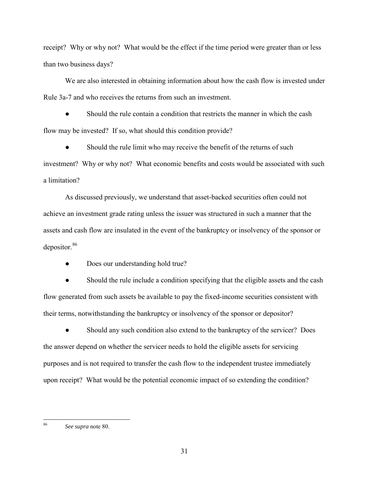receipt? Why or why not? What would be the effect if the time period were greater than or less than two business days?

We are also interested in obtaining information about how the cash flow is invested under Rule 3a-7 and who receives the returns from such an investment.

Should the rule contain a condition that restricts the manner in which the cash flow may be invested? If so, what should this condition provide?

• Should the rule limit who may receive the benefit of the returns of such investment? Why or why not? What economic benefits and costs would be associated with such a limitation?

As discussed previously, we understand that asset-backed securities often could not achieve an investment grade rating unless the issuer was structured in such a manner that the assets and cash flow are insulated in the event of the bankruptcy or insolvency of the sponsor or depositor.[86](#page-30-0)

• Does our understanding hold true?

Should the rule include a condition specifying that the eligible assets and the cash flow generated from such assets be available to pay the fixed-income securities consistent with their terms, notwithstanding the bankruptcy or insolvency of the sponsor or depositor?

• Should any such condition also extend to the bankruptcy of the servicer? Does the answer depend on whether the servicer needs to hold the eligible assets for servicing purposes and is not required to transfer the cash flow to the independent trustee immediately upon receipt? What would be the potential economic impact of so extending the condition?

31

<span id="page-30-0"></span><sup>86</sup> See supra note 80.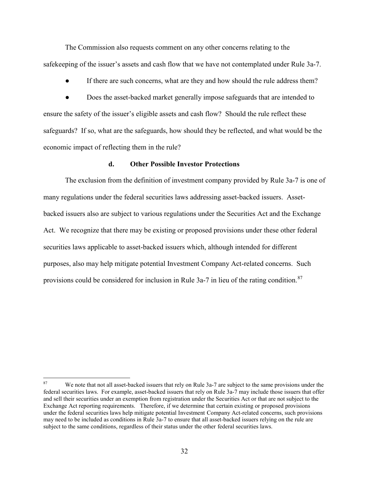The Commission also requests comment on any other concerns relating to the safekeeping of the issuer's assets and cash flow that we have not contemplated under Rule 3a-7.

● If there are such concerns, what are they and how should the rule address them?

• Does the asset-backed market generally impose safeguards that are intended to ensure the safety of the issuer's eligible assets and cash flow? Should the rule reflect these safeguards? If so, what are the safeguards, how should they be reflected, and what would be the economic impact of reflecting them in the rule?

### **d. Other Possible Investor Protections**

The exclusion from the definition of investment company provided by Rule 3a-7 is one of many regulations under the federal securities laws addressing asset-backed issuers. Assetbacked issuers also are subject to various regulations under the Securities Act and the Exchange Act. We recognize that there may be existing or proposed provisions under these other federal securities laws applicable to asset-backed issuers which, although intended for different purposes, also may help mitigate potential Investment Company Act-related concerns. Such provisions could be considered for inclusion in Rule 3a-7 in lieu of the rating condition.<sup>[87](#page-31-0)</sup>

<span id="page-31-0"></span><sup>87</sup> We note that not all asset-backed issuers that rely on Rule 3a-7 are subject to the same provisions under the federal securities laws. For example, asset-backed issuers that rely on Rule 3a-7 may include those issuers that offer and sell their securities under an exemption from registration under the Securities Act or that are not subject to the Exchange Act reporting requirements. Therefore, if we determine that certain existing or proposed provisions under the federal securities laws help mitigate potential Investment Company Act-related concerns, such provisions may need to be included as conditions in Rule 3a-7 to ensure that all asset-backed issuers relying on the rule are subject to the same conditions, regardless of their status under the other federal securities laws.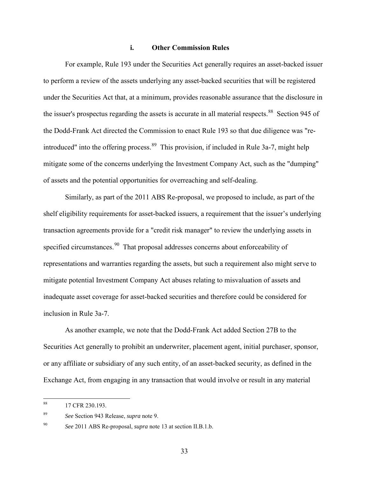## **i. Other Commission Rules**

For example, Rule 193 under the Securities Act generally requires an asset-backed issuer to perform a review of the assets underlying any asset-backed securities that will be registered under the Securities Act that, at a minimum, provides reasonable assurance that the disclosure in the issuer's prospectus regarding the assets is accurate in all material respects.<sup>[88](#page-32-0)</sup> Section 945 of the Dodd-Frank Act directed the Commission to enact Rule 193 so that due diligence was "re-introduced" into the offering process.<sup>[89](#page-32-1)</sup> This provision, if included in Rule 3a-7, might help mitigate some of the concerns underlying the Investment Company Act, such as the "dumping" of assets and the potential opportunities for overreaching and self-dealing.

Similarly, as part of the 2011 ABS Re-proposal, we proposed to include, as part of the shelf eligibility requirements for asset-backed issuers, a requirement that the issuer's underlying transaction agreements provide for a "credit risk manager" to review the underlying assets in specified circumstances.<sup>[90](#page-32-2)</sup> That proposal addresses concerns about enforceability of representations and warranties regarding the assets, but such a requirement also might serve to mitigate potential Investment Company Act abuses relating to misvaluation of assets and inadequate asset coverage for asset-backed securities and therefore could be considered for inclusion in Rule 3a-7.

As another example, we note that the Dodd-Frank Act added Section 27B to the Securities Act generally to prohibit an underwriter, placement agent, initial purchaser, sponsor, or any affiliate or subsidiary of any such entity, of an asset-backed security, as defined in the Exchange Act, from engaging in any transaction that would involve or result in any material

<span id="page-32-0"></span> $88\,$ 17 CFR 230.193.

<span id="page-32-1"></span><sup>89</sup> *See* Section 943 Release, *supra* note [9.](#page-4-4) 

<span id="page-32-2"></span><sup>90</sup> *See* 2011 ABS Re-proposal, *supra* not[e 13](#page-5-4) at section II.B.1.b.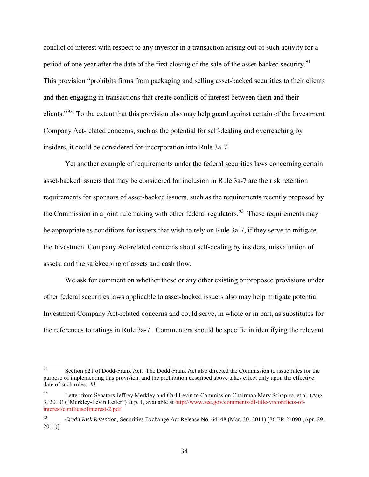conflict of interest with respect to any investor in a transaction arising out of such activity for a period of one year after the date of the first closing of the sale of the asset-backed security.<sup>91</sup> This provision "prohibits firms from packaging and selling asset-backed securities to their clients and then engaging in transactions that create conflicts of interest between them and their clients."<sup>[92](#page-33-1)</sup> To the extent that this provision also may help guard against certain of the Investment Company Act-related concerns, such as the potential for self-dealing and overreaching by insiders, it could be considered for incorporation into Rule 3a-7.

Yet another example of requirements under the federal securities laws concerning certain asset-backed issuers that may be considered for inclusion in Rule 3a-7 are the risk retention requirements for sponsors of asset-backed issuers, such as the requirements recently proposed by the Commission in a joint rulemaking with other federal regulators.<sup>[93](#page-33-2)</sup> These requirements may be appropriate as conditions for issuers that wish to rely on Rule 3a-7, if they serve to mitigate the Investment Company Act-related concerns about self-dealing by insiders, misvaluation of assets, and the safekeeping of assets and cash flow.

We ask for comment on whether these or any other existing or proposed provisions under other federal securities laws applicable to asset-backed issuers also may help mitigate potential Investment Company Act-related concerns and could serve, in whole or in part, as substitutes for the references to ratings in Rule 3a-7. Commenters should be specific in identifying the relevant

<span id="page-33-0"></span><sup>91</sup> Section 621 of Dodd-Frank Act. The Dodd-Frank Act also directed the Commission to issue rules for the purpose of implementing this provision, and the prohibition described above takes effect only upon the effective date of such rules. *Id.*

<span id="page-33-1"></span>Letter from Senators Jeffrey Merkley and Carl Levin to Commission Chairman Mary Schapiro, et al. (Aug. 3, 2010) ("Merkley-Levin Letter") at p. 1*,* available at [http://www.sec.gov/comments/df-title-vi/conflicts-of](http://www.sec.gov/comments/df-title-vi/conflicts-of-interest/conflictsofinterest-2.pdf)[interest/conflictsofinterest-2.pdf](http://www.sec.gov/comments/df-title-vi/conflicts-of-interest/conflictsofinterest-2.pdf) .

<span id="page-33-2"></span><sup>93</sup> *Credit Risk Retention,* Securities Exchange Act Release No. 64148 (Mar. 30, 2011) [76 FR 24090 (Apr. 29, 2011)].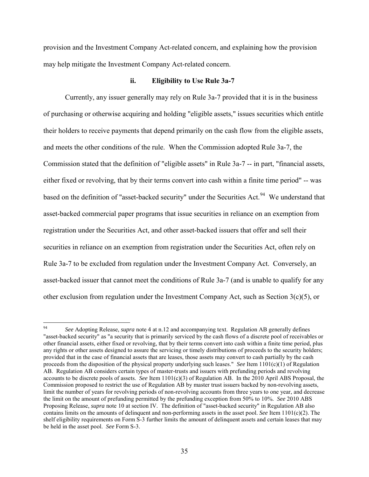provision and the Investment Company Act-related concern, and explaining how the provision may help mitigate the Investment Company Act-related concern.

#### **ii. Eligibility to Use Rule 3a-7**

Currently, any issuer generally may rely on Rule 3a-7 provided that it is in the business of purchasing or otherwise acquiring and holding "eligible assets," issues securities which entitle their holders to receive payments that depend primarily on the cash flow from the eligible assets, and meets the other conditions of the rule. When the Commission adopted Rule 3a-7, the Commission stated that the definition of "eligible assets" in Rule 3a-7 -- in part, "financial assets, either fixed or revolving, that by their terms convert into cash within a finite time period" -- was based on the definition of "asset-backed security" under the Securities Act.<sup>[94](#page-34-0)</sup> We understand that asset-backed commercial paper programs that issue securities in reliance on an exemption from registration under the Securities Act, and other asset-backed issuers that offer and sell their securities in reliance on an exemption from registration under the Securities Act, often rely on Rule 3a-7 to be excluded from regulation under the Investment Company Act. Conversely, an asset-backed issuer that cannot meet the conditions of Rule 3a-7 (and is unable to qualify for any other exclusion from regulation under the Investment Company Act, such as Section  $3(c)(5)$ , or

<span id="page-34-0"></span><sup>94</sup> 94 *See* Adopting Release, *supra* note [4](#page-3-0) at n.12 and accompanying text. Regulation AB generally defines "asset-backed security" as "a security that is primarily serviced by the cash flows of a discrete pool of receivables or other financial assets, either fixed or revolving, that by their terms convert into cash within a finite time period, plus any rights or other assets designed to assure the servicing or timely distributions of proceeds to the security holders; provided that in the case of financial assets that are leases, those assets may convert to cash partially by the cash proceeds from the disposition of the physical property underlying such leases." *See* Item 1101(c)(1) of Regulation AB. Regulation AB considers certain types of master-trusts and issuers with prefunding periods and revolving accounts to be discrete pools of assets. *See* Item 1101(c)(3) of Regulation AB. In the 2010 April ABS Proposal, the Commission proposed to restrict the use of Regulation AB by master trust issuers backed by non-revolving assets, limit the number of years for revolving periods of non-revolving accounts from three years to one year, and decrease the limit on the amount of prefunding permitted by the prefunding exception from 50% to 10%. *See* 2010 ABS Proposing Release, *supra* note [10](#page-4-5) at section IV. The definition of "asset-backed security" in Regulation AB also contains limits on the amounts of delinquent and non-performing assets in the asset pool. *See* Item 1101(c)(2). The shelf eligibility requirements on Form S-3 further limits the amount of delinquent assets and certain leases that may be held in the asset pool. *See* Form S-3.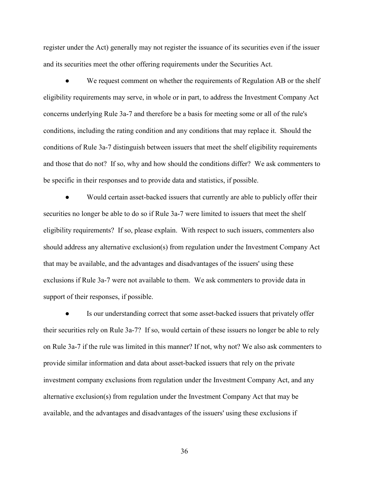register under the Act) generally may not register the issuance of its securities even if the issuer and its securities meet the other offering requirements under the Securities Act.

• We request comment on whether the requirements of Regulation AB or the shelf eligibility requirements may serve, in whole or in part, to address the Investment Company Act concerns underlying Rule 3a-7 and therefore be a basis for meeting some or all of the rule's conditions, including the rating condition and any conditions that may replace it. Should the conditions of Rule 3a-7 distinguish between issuers that meet the shelf eligibility requirements and those that do not? If so, why and how should the conditions differ? We ask commenters to be specific in their responses and to provide data and statistics, if possible.

• Would certain asset-backed issuers that currently are able to publicly offer their securities no longer be able to do so if Rule 3a-7 were limited to issuers that meet the shelf eligibility requirements? If so, please explain. With respect to such issuers, commenters also should address any alternative exclusion(s) from regulation under the Investment Company Act that may be available, and the advantages and disadvantages of the issuers' using these exclusions if Rule 3a-7 were not available to them. We ask commenters to provide data in support of their responses, if possible.

Is our understanding correct that some asset-backed issuers that privately offer their securities rely on Rule 3a-7? If so, would certain of these issuers no longer be able to rely on Rule 3a-7 if the rule was limited in this manner? If not, why not? We also ask commenters to provide similar information and data about asset-backed issuers that rely on the private investment company exclusions from regulation under the Investment Company Act, and any alternative exclusion(s) from regulation under the Investment Company Act that may be available, and the advantages and disadvantages of the issuers' using these exclusions if

36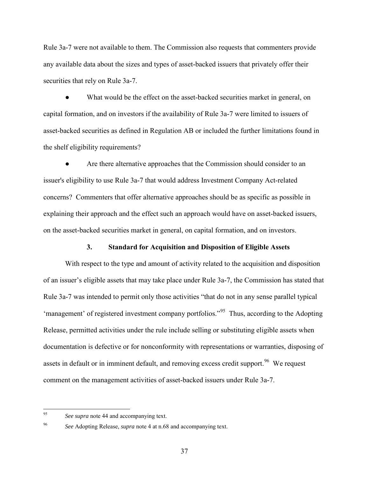Rule 3a-7 were not available to them. The Commission also requests that commenters provide any available data about the sizes and types of asset-backed issuers that privately offer their securities that rely on Rule 3a-7.

What would be the effect on the asset-backed securities market in general, on capital formation, and on investors if the availability of Rule 3a-7 were limited to issuers of asset-backed securities as defined in Regulation AB or included the further limitations found in the shelf eligibility requirements?

Are there alternative approaches that the Commission should consider to an issuer's eligibility to use Rule 3a-7 that would address Investment Company Act-related concerns? Commenters that offer alternative approaches should be as specific as possible in explaining their approach and the effect such an approach would have on asset-backed issuers, on the asset-backed securities market in general, on capital formation, and on investors.

#### **3. Standard for Acquisition and Disposition of Eligible Assets**

With respect to the type and amount of activity related to the acquisition and disposition of an issuer's eligible assets that may take place under Rule 3a-7, the Commission has stated that Rule 3a-7 was intended to permit only those activities "that do not in any sense parallel typical 'management' of registered investment company portfolios."[95](#page-36-0) Thus, according to the Adopting Release, permitted activities under the rule include selling or substituting eligible assets when documentation is defective or for nonconformity with representations or warranties, disposing of assets in default or in imminent default, and removing excess credit support.<sup>[96](#page-36-1)</sup> We request comment on the management activities of asset-backed issuers under Rule 3a-7.

37

<span id="page-36-0"></span><sup>95</sup> 95 *See supra* note [44](#page-12-7) and accompanying text.

<span id="page-36-1"></span><sup>96</sup> *See* Adopting Release, *supra* not[e 4](#page-3-0) at n.68 and accompanying text.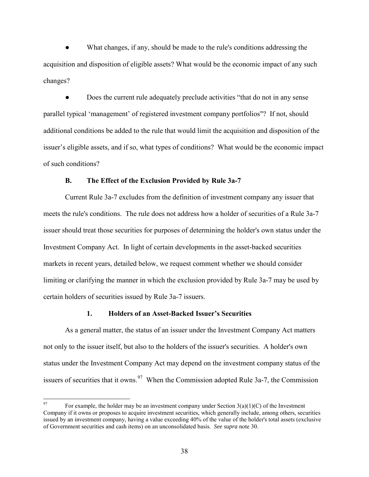What changes, if any, should be made to the rule's conditions addressing the acquisition and disposition of eligible assets? What would be the economic impact of any such changes?

Does the current rule adequately preclude activities "that do not in any sense parallel typical 'management' of registered investment company portfolios"? If not, should additional conditions be added to the rule that would limit the acquisition and disposition of the issuer's eligible assets, and if so, what types of conditions? What would be the economic impact of such conditions?

#### **B. The Effect of the Exclusion Provided by Rule 3a-7**

Current Rule 3a-7 excludes from the definition of investment company any issuer that meets the rule's conditions. The rule does not address how a holder of securities of a Rule 3a-7 issuer should treat those securities for purposes of determining the holder's own status under the Investment Company Act. In light of certain developments in the asset-backed securities markets in recent years, detailed below, we request comment whether we should consider limiting or clarifying the manner in which the exclusion provided by Rule 3a-7 may be used by certain holders of securities issued by Rule 3a-7 issuers.

#### **1. Holders of an Asset-Backed Issuer's Securities**

As a general matter, the status of an issuer under the Investment Company Act matters not only to the issuer itself, but also to the holders of the issuer's securities. A holder's own status under the Investment Company Act may depend on the investment company status of the issuers of securities that it owns.  $97$  When the Commission adopted Rule 3a-7, the Commission

 $\overline{a}$ 

<span id="page-37-0"></span>For example, the holder may be an investment company under Section  $3(a)(1)(C)$  of the Investment Company if it owns or proposes to acquire investment securities, which generally include, among others, securities issued by an investment company, having a value exceeding 40% of the value of the holder's total assets (exclusive of Government securities and cash items) on an unconsolidated basis. *See supra* note [30.](#page-9-1)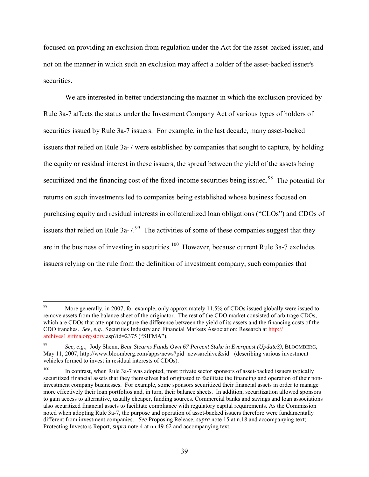focused on providing an exclusion from regulation under the Act for the asset-backed issuer, and not on the manner in which such an exclusion may affect a holder of the asset-backed issuer's securities.

We are interested in better understanding the manner in which the exclusion provided by Rule 3a-7 affects the status under the Investment Company Act of various types of holders of securities issued by Rule 3a-7 issuers. For example, in the last decade, many asset-backed issuers that relied on Rule 3a-7 were established by companies that sought to capture, by holding the equity or residual interest in these issuers, the spread between the yield of the assets being securitized and the financing cost of the fixed-income securities being issued.<sup>[98](#page-38-0)</sup> The potential for returns on such investments led to companies being established whose business focused on purchasing equity and residual interests in collateralized loan obligations ("CLOs") and CDOs of issuers that relied on Rule  $3a-7$ .<sup>99</sup> The activities of some of these companies suggest that they are in the business of investing in securities.<sup>[100](#page-38-2)</sup> However, because current Rule  $3a-7$  excludes issuers relying on the rule from the definition of investment company, such companies that

<span id="page-38-0"></span><sup>98</sup> More generally, in 2007, for example, only approximately 11.5% of CDOs issued globally were issued to remove assets from the balance sheet of the originator. The rest of the CDO market consisted of arbitrage CDOs, which are CDOs that attempt to capture the difference between the yield of its assets and the financing costs of the CDO tranches. *See, e.g.,* Securities Industry and Financial Markets Association: Research at http:// archives1.sifma.org/story.asp?id=2375 ("SIFMA").

<span id="page-38-1"></span><sup>99</sup> *See, e.g.,* Jody Shenn, *Bear Stearns Funds Own 67 Percent Stake in Everquest (Update3)*, BLOOMBERG, May 11, 2007, http://www.bloomberg.com/apps/news?pid=newsarchive&sid= (describing various investment vehicles formed to invest in residual interests of CDOs).

<span id="page-38-2"></span>In contrast, when Rule 3a-7 was adopted, most private sector sponsors of asset-backed issuers typically securitized financial assets that they themselves had originated to facilitate the financing and operation of their noninvestment company businesses. For example, some sponsors securitized their financial assets in order to manage more effectively their loan portfolios and, in turn, their balance sheets. In addition, securitization allowed sponsors to gain access to alternative, usually cheaper, funding sources. Commercial banks and savings and loan associations also securitized financial assets to facilitate compliance with regulatory capital requirements. As the Commission noted when adopting Rule 3a-7, the purpose and operation of asset-backed issuers therefore were fundamentally different from investment companies. *See* Proposing Release, *supra* not[e 15](#page-6-1) at n.18 and accompanying text; Protecting Investors Report, *supra* note [4](#page-3-0) at nn.49-62 and accompanying text.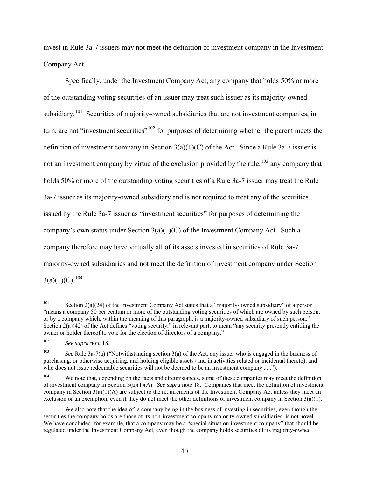invest in Rule 3a-7 issuers may not meet the definition of investment company in the Investment Company Act.

Specifically, under the Investment Company Act, any company that holds 50% or more of the outstanding voting securities of an issuer may treat such issuer as its majority-owned subsidiary.<sup>[101](#page-39-0)</sup> Securities of majority-owned subsidiaries that are not investment companies, in turn, are not "investment securities"<sup>102</sup> for purposes of determining whether the parent meets the definition of investment company in Section  $3(a)(1)(C)$  of the Act. Since a Rule 3a-7 issuer is not an investment company by virtue of the exclusion provided by the rule,  $103$  any company that holds 50% or more of the outstanding voting securities of a Rule 3a-7 issuer may treat the Rule 3a-7 issuer as its majority-owned subsidiary and is not required to treat any of the securities issued by the Rule 3a-7 issuer as "investment securities" for purposes of determining the company's own status under Section  $3(a)(1)(C)$  of the Investment Company Act. Such a company therefore may have virtually all of its assets invested in securities of Rule 3a-7 majority-owned subsidiaries and not meet the definition of investment company under Section  $3(a)(1)(C).$ <sup>[104](#page-39-3)</sup>

<span id="page-39-0"></span><sup>101</sup> Section  $2(a)(24)$  of the Investment Company Act states that a "majority-owned subsidiary" of a person "means a company 50 per centum or more of the outstanding voting securities of which are owned by such person, or by a company which, within the meaning of this paragraph, is a majority-owned subsidiary of such person." Section  $2(a)(42)$  of the Act defines "voting security," in relevant part, to mean "any security presently entitling the owner or holder thereof to vote for the election of directors of a company."

<span id="page-39-1"></span><sup>102</sup> *See supra* note [18.](#page-7-8) 

<span id="page-39-2"></span><sup>103</sup> *See* Rule 3a-7(a) ("Notwithstanding [section 3\(a\)](http://taft.law.uc.edu/CCL/InvCoAct/sec3.html#a) of the Act, any issuer who is engaged in the business of purchasing, or otherwise acquiring, and holding eligible assets (and in activities related or incidental thereto), and who does not issue redeemable securities will not be deemed to be an investment company . . .").

<span id="page-39-3"></span><sup>&</sup>lt;sup>104</sup> We note that, depending on the facts and circumstances, some of these companies may meet the definition of investment company in Section 3(a)(1)(A). *See supra* not[e 18.](#page-7-8) Companies that meet the definition of investment company in Section  $3(a)(1)(A)$  are subject to the requirements of the Investment Company Act unless they meet an exclusion or an exemption, even if they do not meet the other definitions of investment company in Section  $3(a)(1)$ .

We also note that the idea of a company being in the business of investing in securities, even though the securities the company holds are those of its non-investment company majority-owned subsidiaries, is not novel. We have concluded, for example, that a company may be a "special situation investment company" that should be regulated under the Investment Company Act, even though the company holds securities of its majority-owned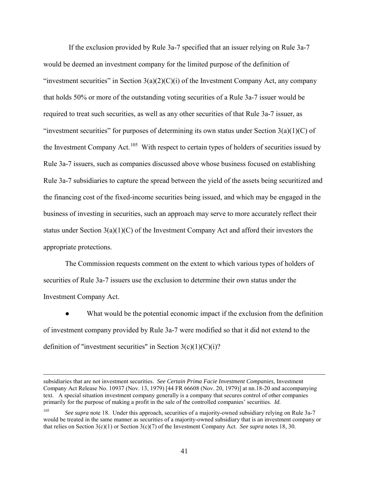If the exclusion provided by Rule 3a-7 specified that an issuer relying on Rule 3a-7 would be deemed an investment company for the limited purpose of the definition of "investment securities" in Section  $3(a)(2)(C)(i)$  of the Investment Company Act, any company that holds 50% or more of the outstanding voting securities of a Rule 3a-7 issuer would be required to treat such securities, as well as any other securities of that Rule 3a-7 issuer, as "investment securities" for purposes of determining its own status under Section  $3(a)(1)(C)$  of the Investment Company Act.<sup>[105](#page-40-0)</sup> With respect to certain types of holders of securities issued by Rule 3a-7 issuers, such as companies discussed above whose business focused on establishing Rule 3a-7 subsidiaries to capture the spread between the yield of the assets being securitized and the financing cost of the fixed-income securities being issued, and which may be engaged in the business of investing in securities, such an approach may serve to more accurately reflect their status under Section  $3(a)(1)(C)$  of the Investment Company Act and afford their investors the appropriate protections.

 The Commission requests comment on the extent to which various types of holders of securities of Rule 3a-7 issuers use the exclusion to determine their own status under the Investment Company Act.

What would be the potential economic impact if the exclusion from the definition of investment company provided by Rule 3a-7 were modified so that it did not extend to the definition of "investment securities" in Section  $3(c)(1)(C)(i)$ ?

subsidiaries that are not investment securities. *See Certain Prima Facie Investment Companies*, Investment Company Act Release No. 10937 (Nov. 13, 1979) [44 FR 66608 (Nov. 20, 1979)] at nn.18-20 and accompanying text. A special situation investment company generally is a company that secures control of other companies primarily for the purpose of making a profit in the sale of the controlled companies' securities. *Id.*

<span id="page-40-0"></span><sup>105</sup> *See supra* note [18.](#page-7-8) Under this approach, securities of a majority-owned subsidiary relying on Rule 3a-7 would be treated in the same manner as securities of a majority-owned subsidiary that is an investment company or that relies on Section 3(c)(1) or Section 3(c)(7) of the Investment Company Act. *See supra* note[s 18,](#page-7-8) [30.](#page-9-1)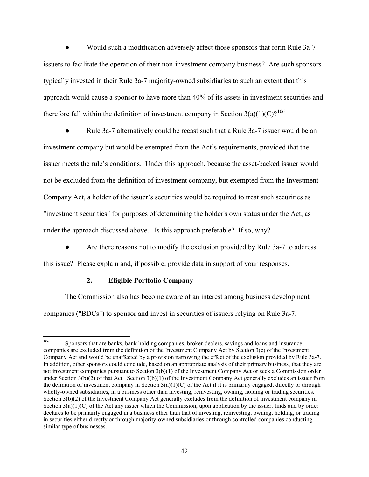Would such a modification adversely affect those sponsors that form Rule 3a-7 issuers to facilitate the operation of their non-investment company business? Are such sponsors typically invested in their Rule 3a-7 majority-owned subsidiaries to such an extent that this approach would cause a sponsor to have more than 40% of its assets in investment securities and therefore fall within the definition of investment company in Section  $3(a)(1)(C)$ ?<sup>[106](#page-41-0)</sup>

Rule 3a-7 alternatively could be recast such that a Rule 3a-7 issuer would be an investment company but would be exempted from the Act's requirements, provided that the issuer meets the rule's conditions. Under this approach, because the asset-backed issuer would not be excluded from the definition of investment company, but exempted from the Investment Company Act, a holder of the issuer's securities would be required to treat such securities as "investment securities" for purposes of determining the holder's own status under the Act, as under the approach discussed above. Is this approach preferable? If so, why?

Are there reasons not to modify the exclusion provided by Rule 3a-7 to address this issue? Please explain and, if possible, provide data in support of your responses.

# **2. Eligible Portfolio Company**

The Commission also has become aware of an interest among business development companies ("BDCs") to sponsor and invest in securities of issuers relying on Rule 3a-7.

<span id="page-41-0"></span><sup>106</sup> <sup>106</sup> Sponsors that are banks, bank holding companies, broker-dealers, savings and loans and insurance companies are excluded from the definition of the Investment Company Act by Section 3(c) of the Investment Company Act and would be unaffected by a provision narrowing the effect of the exclusion provided by Rule 3a-7. In addition, other sponsors [could conclude, based on an appropriate analysis of](http://www.sec.gov/cgi-bin/goodbye.cgi?www.law.uc.edu/CCL/InvCoAct/sec3.html) their primary business, that they are not investment companies [pursuant to Section 3\(b\)\(1\) of the Investment Company Act](http://www.sec.gov/cgi-bin/goodbye.cgi?www.law.uc.edu/CCL/InvCoAct/sec3.html) or seek a Commission order [under Section 3\(b\)\(2\) of that Act. Section 3\(b\)\(1\) of the Investment Company Act](http://www.sec.gov/cgi-bin/goodbye.cgi?www.law.uc.edu/CCL/InvCoAct/sec3.html) generally excludes an issuer from the definition of investment company in Section  $3(a)(1)(C)$  of the Act if it is primarily engaged, directly or through wholly-owned subsidiaries, in a business other than investing, reinvesting, owning, holding or trading securities. [Section 3\(b\)\(2\) of the Investment Company Act](http://www.sec.gov/cgi-bin/goodbye.cgi?www.law.uc.edu/CCL/InvCoAct/sec3.html) generally excludes from the definition of investment company in Section  $3(a)(1)(C)$  of the Act any issuer which the Commission, upon application by the issuer, finds and by order declares to be primarily engaged in a business other than that of investing, reinvesting, owning, holding, or trading in securities either directly or through majority-owned subsidiaries or through controlled companies conducting similar type of businesses.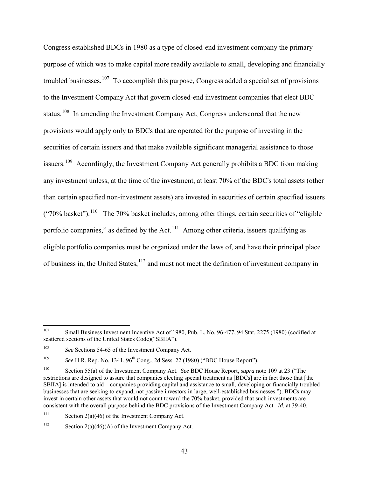<span id="page-42-0"></span>Congress established BDCs in 1980 as a type of closed-end investment company the primary purpose of which was to make capital more readily available to small, developing and financially troubled businesses.[107](#page-42-1) To accomplish this purpose, Congress added a special set of provisions to the Investment Company Act that govern closed-end investment companies that elect BDC status.<sup>[108](#page-42-2)</sup> In amending the Investment Company Act, Congress underscored that the new provisions would apply only to BDCs that are operated for the purpose of investing in the securities of certain issuers and that make available significant managerial assistance to those issuers.<sup>[109](#page-42-3)</sup> Accordingly, the Investment Company Act generally prohibits a BDC from making any investment unless, at the time of the investment, at least 70% of the BDC's total assets (other than certain specified non-investment assets) are invested in securities of certain specified issuers  $($ "70% basket").<sup>[110](#page-42-4)</sup> The 70% basket includes, among other things, certain securities of "eligible" portfolio companies," as defined by the Act. $111$  Among other criteria, issuers qualifying as eligible portfolio companies must be organized under the laws of, and have their principal place of business in, the United States, <sup>[112](#page-42-6)</sup> and must not meet the definition of investment company in

<span id="page-42-5"></span><sup>111</sup> Section 2(a)(46) of the Investment Company Act.

<span id="page-42-1"></span><sup>107</sup> Small Business Investment Incentive Act of 1980, Pub. L. No. 96-477, 94 Stat. 2275 (1980) (codified at scattered sections of the United States Code)("SBIIA").

<span id="page-42-2"></span><sup>&</sup>lt;sup>108</sup> *See* Sections 54-65 of the Investment Company Act.

<span id="page-42-3"></span><sup>109</sup> *See* H.R. Rep. No. 1341, 96th Cong., 2d Sess. 22 (1980) ("BDC House Report").

<span id="page-42-4"></span><sup>110</sup> Section 55(a) of the Investment Company Act. *See* BDC House Report, *supra* not[e 109](#page-42-0) at 23 ("The restrictions are designed to assure that companies electing special treatment as [BDCs] are in fact those that [the SBIIA] is intended to aid – companies providing capital and assistance to small, developing or financially troubled businesses that are seeking to expand, not passive investors in large, well-established businesses."). BDCs may invest in certain other assets that would not count toward the 70% basket, provided that such investments are consistent with the overall purpose behind the BDC provisions of the Investment Company Act. *Id.* at 39-40.

<span id="page-42-6"></span><sup>&</sup>lt;sup>112</sup> Section 2(a)(46)(A) of the Investment Company Act.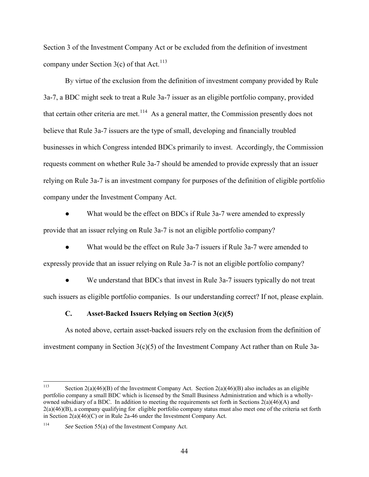Section 3 of the Investment Company Act or be excluded from the definition of investment company under Section  $3(c)$  of that Act.<sup>[113](#page-43-0)</sup>

By virtue of the exclusion from the definition of investment company provided by Rule 3a-7, a BDC might seek to treat a Rule 3a-7 issuer as an eligible portfolio company, provided that certain other criteria are met.<sup>[114](#page-43-1)</sup> As a general matter, the Commission presently does not believe that Rule 3a-7 issuers are the type of small, developing and financially troubled businesses in which Congress intended BDCs primarily to invest. Accordingly, the Commission requests comment on whether Rule 3a-7 should be amended to provide expressly that an issuer relying on Rule 3a-7 is an investment company for purposes of the definition of eligible portfolio company under the Investment Company Act.

What would be the effect on BDCs if Rule 3a-7 were amended to expressly provide that an issuer relying on Rule 3a-7 is not an eligible portfolio company?

What would be the effect on Rule 3a-7 issuers if Rule 3a-7 were amended to expressly provide that an issuer relying on Rule 3a-7 is not an eligible portfolio company?

We understand that BDCs that invest in Rule 3a-7 issuers typically do not treat such issuers as eligible portfolio companies. Is our understanding correct? If not, please explain.

# **C. Asset-Backed Issuers Relying on Section 3(c)(5)**

As noted above, certain asset-backed issuers rely on the exclusion from the definition of investment company in Section  $3(c)(5)$  of the Investment Company Act rather than on Rule 3a-

<span id="page-43-0"></span><sup>113</sup> Section  $2(a)(46)(B)$  of the Investment Company Act. Section  $2(a)(46)(B)$  also includes as an eligible portfolio company a small BDC which is licensed by the Small Business Administration and which is a whollyowned subsidiary of a BDC. In addition to meeting the requirements set forth in Sections  $2(a)(46)(A)$  and 2(a)(46)(B), a company qualifying for eligible portfolio company status must also meet one of the criteria set forth in Section 2(a)(46)(C) or in Rule 2a-46 under the Investment Company Act.

<span id="page-43-1"></span><sup>114</sup> *See* Section 55(a) of the Investment Company Act.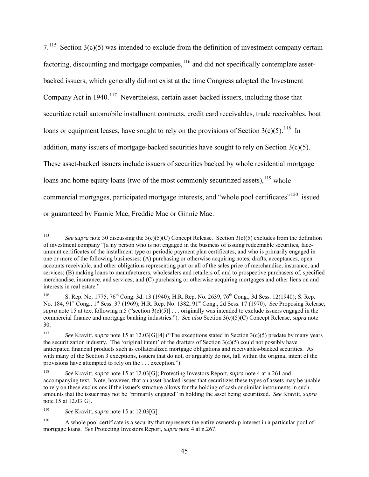<span id="page-44-6"></span> $7.115$  Section 3(c)(5) was intended to exclude from the definition of investment company certain factoring, discounting and mortgage companies,  $^{116}$  $^{116}$  $^{116}$  and did not specifically contemplate assetbacked issuers, which generally did not exist at the time Congress adopted the Investment Company Act in 1940.<sup>[117](#page-44-2)</sup> Nevertheless, certain asset-backed issuers, including those that securitize retail automobile installment contracts, credit card receivables, trade receivables, boat loans or equipment leases, have sought to rely on the provisions of Section  $3(c)(5)$ .<sup>[118](#page-44-3)</sup> In addition, many issuers of mortgage-backed securities have sought to rely on Section  $3(c)(5)$ . These asset-backed issuers include issuers of securities backed by whole residential mortgage loans and home equity loans (two of the most commonly securitized assets).<sup>119</sup> whole commercial mortgages, participated mortgage interests, and "whole pool certificates"<sup>[120](#page-44-5)</sup> issued or guaranteed by Fannie Mae, Freddie Mac or Ginnie Mae.

<span id="page-44-0"></span><sup>115</sup> <sup>115</sup> *See supra* note [30](#page-9-1) discussing the 3(c)(5)(C) Concept Release. Section 3(c)(5) excludes from the definition of investment company "[a]ny person who is not engaged in the business of issuing redeemable securities, faceamount certificates of the installment type or periodic payment plan certificates, and who is primarily engaged in one or more of the following businesses: (A) purchasing or otherwise acquiring notes, drafts, acceptances, open accounts receivable, and other obligations representing part or all of the sales price of merchandise, insurance, and services; (B) making loans to manufacturers, wholesalers and retailers of, and to prospective purchasers of, specified merchandise, insurance, and services; and (C) purchasing or otherwise acquiring mortgages and other liens on and interests in real estate."

<span id="page-44-1"></span><sup>&</sup>lt;sup>116</sup> S. Rep. No. 1775,  $76^{th}$  Cong. 3d. 13 (1940); H.R. Rep. No. 2639,  $76^{th}$  Cong., 3d Sess. 12(1940); S. Rep. No. 184, 91st Cong., 1st Sess. 37 (1969); H.R. Rep. No. 1382, 91st Cong., 2d Sess. 17 (1970). *See* Proposing Release, *supra* note [15](#page-6-1) at text following n.5 ("section  $3(c)(5)$ ] ... originally was intended to exclude issuers engaged in the commercial finance and mortgage banking industries."). *See also* Section 3(c)(5)(C) Concept Release, *supra* note [30.](#page-9-1)

<span id="page-44-2"></span><sup>117</sup> *See* Kravitt, *supra* not[e 15](#page-6-1) at 12.03[G][4] ("The exceptions stated in Section 3(c)(5) predate by many years the securitization industry. The 'original intent' of the drafters of Section 3(c)(5) could not possibly have anticipated financial products such as collateralized mortgage obligations and receivables-backed securities. As with many of the Section 3 exceptions, issuers that do not, or arguably do not, fall within the original intent of the provisions have attempted to rely on the . . . exception.")

<span id="page-44-3"></span><sup>118</sup> *See* Kravitt, *supra* not[e 15](#page-6-1) at 12.03[G]; Protecting Investors Report, *supra* not[e 4](#page-3-0) at n.261 and accompanying text. Note, however, that an asset-backed issuer that securitizes these types of assets may be unable to rely on these exclusions if the issuer's structure allows for the holding of cash or similar instruments in such amounts that the issuer may not be "primarily engaged" in holding the asset being securitized. *See* Kravitt, *supra* not[e 15](#page-6-1) at 12.03[G].

<span id="page-44-4"></span><sup>119</sup> *See* Kravitt, *supra* not[e 15](#page-6-1) at 12.03[G].

<span id="page-44-5"></span><sup>&</sup>lt;sup>120</sup> A whole pool certificate is a security that represents the entire ownership interest in a particular pool of mortgage loans. *See* Protecting Investors Report, *supra* note [4](#page-3-0) at n.267.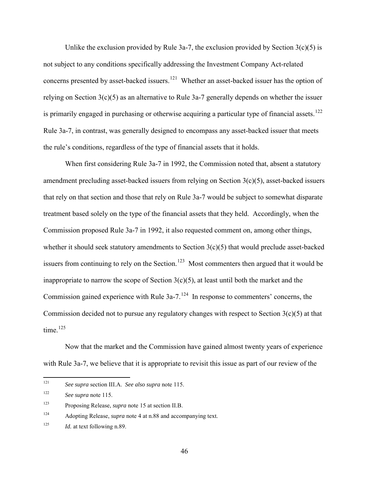Unlike the exclusion provided by Rule 3a-7, the exclusion provided by Section  $3(c)(5)$  is not subject to any conditions specifically addressing the Investment Company Act-related concerns presented by asset-backed issuers.[121](#page-45-0) Whether an asset-backed issuer has the option of relying on Section 3(c)(5) as an alternative to Rule 3a-7 generally depends on whether the issuer is primarily engaged in purchasing or otherwise acquiring a particular type of financial assets.<sup>[122](#page-45-1)</sup> Rule 3a-7, in contrast, was generally designed to encompass any asset-backed issuer that meets the rule's conditions, regardless of the type of financial assets that it holds.

When first considering Rule 3a-7 in 1992, the Commission noted that, absent a statutory amendment precluding asset-backed issuers from relying on Section 3(c)(5), asset-backed issuers that rely on that section and those that rely on Rule 3a-7 would be subject to somewhat disparate treatment based solely on the type of the financial assets that they held. Accordingly, when the Commission proposed Rule 3a-7 in 1992, it also requested comment on, among other things, whether it should seek statutory amendments to Section 3(c)(5) that would preclude asset-backed issuers from continuing to rely on the Section.<sup>123</sup> Most commenters then argued that it would be inappropriate to narrow the scope of Section  $3(c)(5)$ , at least until both the market and the Commission gained experience with Rule  $3a-7$ .<sup>124</sup> In response to commenters' concerns, the Commission decided not to pursue any regulatory changes with respect to Section  $3(c)(5)$  at that time. $125$ 

Now that the market and the Commission have gained almost twenty years of experience with Rule 3a-7, we believe that it is appropriate to revisit this issue as part of our review of the

<span id="page-45-3"></span>124 Adopting Release, *supra* note [4](#page-3-0) at n.88 and accompanying text.

<span id="page-45-0"></span> $121$ See supra section III.A. See also supra note [115.](#page-44-6)

<span id="page-45-1"></span><sup>122</sup> *See supra* note [115.](#page-44-6) 

<span id="page-45-2"></span><sup>123</sup> Proposing Release, *supra* note [15](#page-6-1) at section II.B.

<span id="page-45-4"></span><sup>&</sup>lt;sup>125</sup> *Id.* at text following n.89.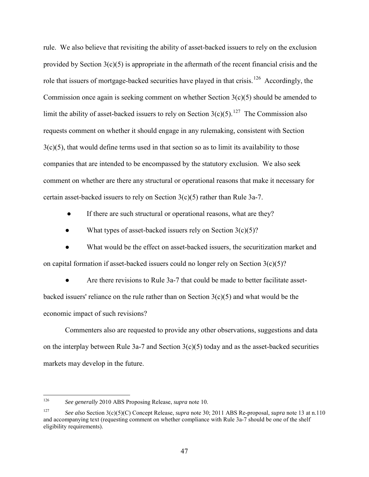rule. We also believe that revisiting the ability of asset-backed issuers to rely on the exclusion provided by Section 3(c)(5) is appropriate in the aftermath of the recent financial crisis and the role that issuers of mortgage-backed securities have played in that crisis.<sup>126</sup> Accordingly, the Commission once again is seeking comment on whether Section  $3(c)(5)$  should be amended to limit the ability of asset-backed issuers to rely on Section  $3(c)(5)$ .<sup>[127](#page-46-1)</sup> The Commission also requests comment on whether it should engage in any rulemaking, consistent with Section  $3(c)(5)$ , that would define terms used in that section so as to limit its availability to those companies that are intended to be encompassed by the statutory exclusion. We also seek comment on whether are there any structural or operational reasons that make it necessary for certain asset-backed issuers to rely on Section  $3(c)(5)$  rather than Rule 3a-7.

If there are such structural or operational reasons, what are they?

• What types of asset-backed issuers rely on Section  $3(c)(5)$ ?

● What would be the effect on asset-backed issuers, the securitization market and on capital formation if asset-backed issuers could no longer rely on Section  $3(c)(5)$ ?

Are there revisions to Rule 3a-7 that could be made to better facilitate assetbacked issuers' reliance on the rule rather than on Section 3(c)(5) and what would be the economic impact of such revisions?

Commenters also are requested to provide any other observations, suggestions and data on the interplay between Rule 3a-7 and Section  $3(c)(5)$  today and as the asset-backed securities markets may develop in the future.

<span id="page-46-0"></span><sup>126</sup> 126 *See generally* 2010 ABS Proposing Release, *supra* note [10.](#page-4-5)

<span id="page-46-1"></span><sup>127</sup> *See also* Section 3(c)(5)(C) Concept Release, *supra* note [30;](#page-9-1) 2011 ABS Re-proposal, *supra* note [13](#page-5-4) at n.110 and accompanying text (requesting comment on whether compliance with Rule 3a-7 should be one of the shelf eligibility requirements).